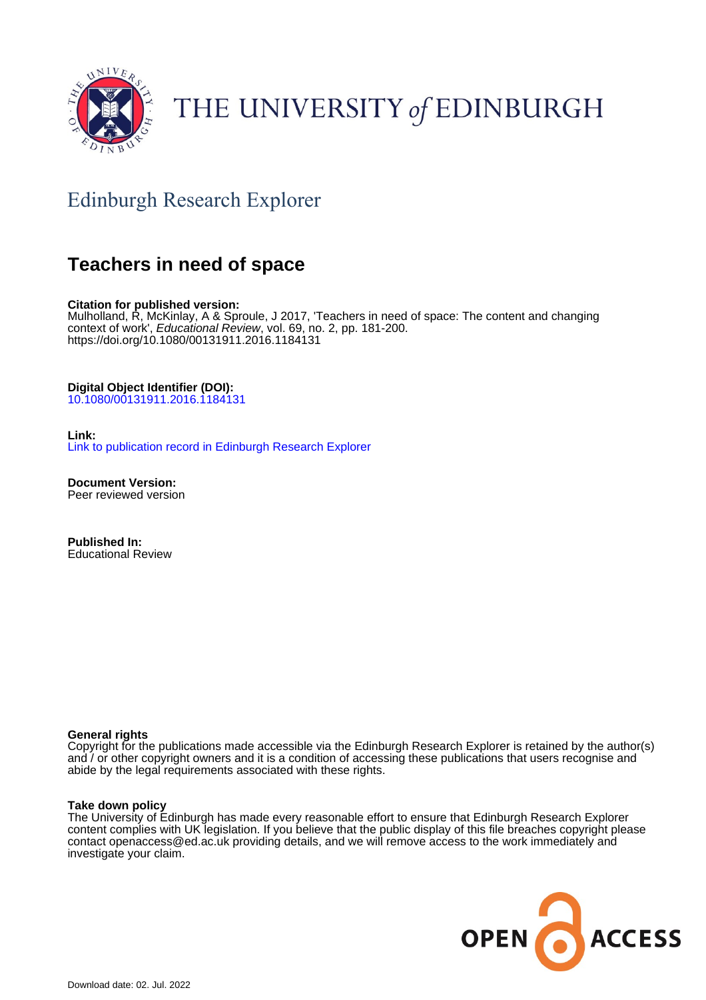

# THE UNIVERSITY of EDINBURGH

## Edinburgh Research Explorer

### **Teachers in need of space**

**Citation for published version:**

Mulholland, R, McKinlay, A & Sproule, J 2017, 'Teachers in need of space: The content and changing context of work', Educational Review, vol. 69, no. 2, pp. 181-200. <https://doi.org/10.1080/00131911.2016.1184131>

#### **Digital Object Identifier (DOI):**

[10.1080/00131911.2016.1184131](https://doi.org/10.1080/00131911.2016.1184131)

#### **Link:**

[Link to publication record in Edinburgh Research Explorer](https://www.research.ed.ac.uk/en/publications/b48cb178-4c40-4c43-a2a5-cb3dc762121e)

**Document Version:** Peer reviewed version

**Published In:** Educational Review

#### **General rights**

Copyright for the publications made accessible via the Edinburgh Research Explorer is retained by the author(s) and / or other copyright owners and it is a condition of accessing these publications that users recognise and abide by the legal requirements associated with these rights.

#### **Take down policy**

The University of Edinburgh has made every reasonable effort to ensure that Edinburgh Research Explorer content complies with UK legislation. If you believe that the public display of this file breaches copyright please contact openaccess@ed.ac.uk providing details, and we will remove access to the work immediately and investigate your claim.

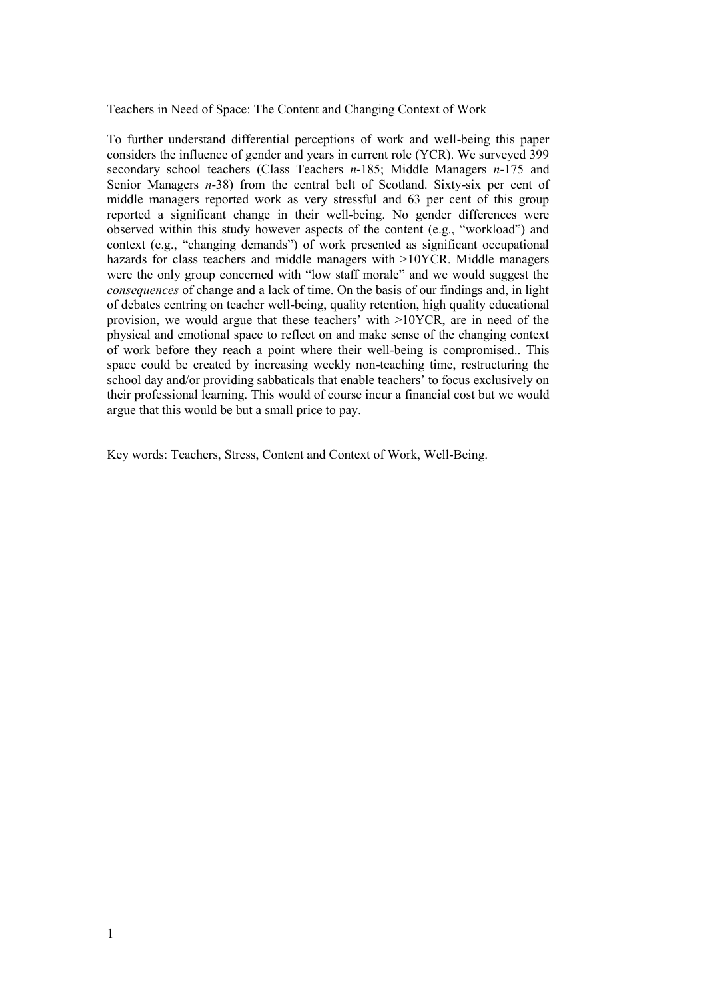Teachers in Need of Space: The Content and Changing Context of Work

To further understand differential perceptions of work and well-being this paper considers the influence of gender and years in current role (YCR). We surveyed 399 secondary school teachers (Class Teachers *n*-185; Middle Managers *n*-175 and Senior Managers *n*-38) from the central belt of Scotland. Sixty-six per cent of middle managers reported work as very stressful and 63 per cent of this group reported a significant change in their well-being. No gender differences were observed within this study however aspects of the content (e.g., "workload") and context (e.g., "changing demands") of work presented as significant occupational hazards for class teachers and middle managers with >10YCR. Middle managers were the only group concerned with "low staff morale" and we would suggest the *consequences* of change and a lack of time. On the basis of our findings and, in light of debates centring on teacher well-being, quality retention, high quality educational provision, we would argue that these teachers' with >10YCR, are in need of the physical and emotional space to reflect on and make sense of the changing context of work before they reach a point where their well-being is compromised.. This space could be created by increasing weekly non-teaching time, restructuring the school day and/or providing sabbaticals that enable teachers' to focus exclusively on their professional learning. This would of course incur a financial cost but we would argue that this would be but a small price to pay.

Key words: Teachers, Stress, Content and Context of Work, Well-Being.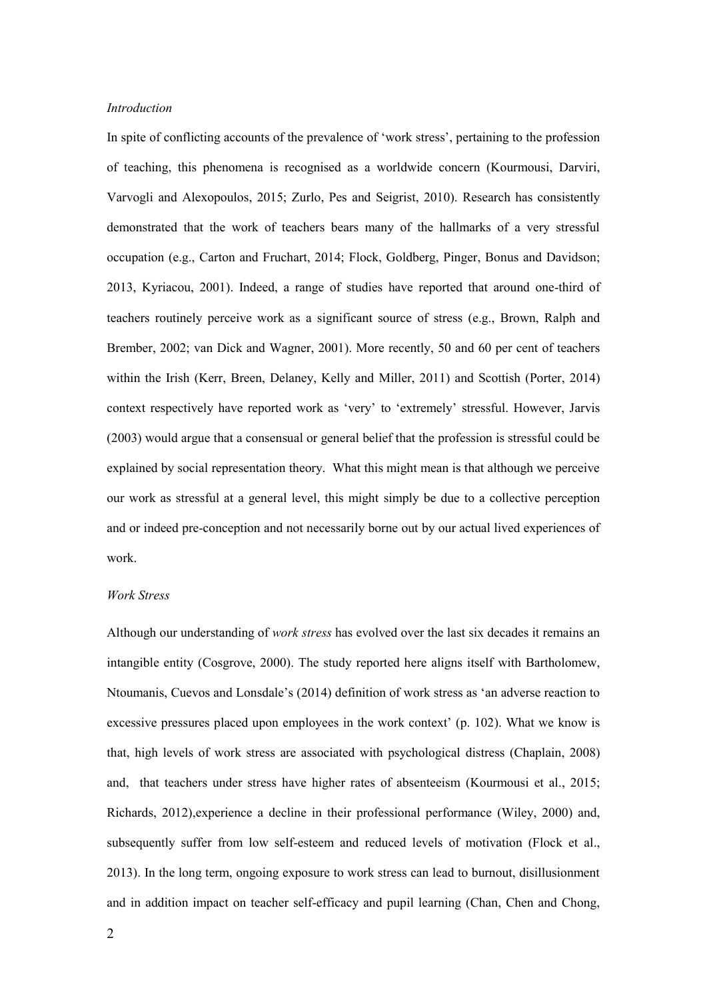#### *Introduction*

In spite of conflicting accounts of the prevalence of 'work stress', pertaining to the profession of teaching, this phenomena is recognised as a worldwide concern (Kourmousi, Darviri, Varvogli and Alexopoulos, 2015; Zurlo, Pes and Seigrist, 2010). Research has consistently demonstrated that the work of teachers bears many of the hallmarks of a very stressful occupation (e.g., Carton and Fruchart, 2014; Flock, Goldberg, Pinger, Bonus and Davidson; 2013, Kyriacou, 2001). Indeed, a range of studies have reported that around one-third of teachers routinely perceive work as a significant source of stress (e.g., Brown, Ralph and Brember, 2002; van Dick and Wagner, 2001). More recently, 50 and 60 per cent of teachers within the Irish (Kerr, Breen, Delaney, Kelly and Miller, 2011) and Scottish (Porter, 2014) context respectively have reported work as 'very' to 'extremely' stressful. However, Jarvis (2003) would argue that a consensual or general belief that the profession is stressful could be explained by social representation theory. What this might mean is that although we perceive our work as stressful at a general level, this might simply be due to a collective perception and or indeed pre-conception and not necessarily borne out by our actual lived experiences of work.

#### *Work Stress*

Although our understanding of *work stress* has evolved over the last six decades it remains an intangible entity (Cosgrove, 2000). The study reported here aligns itself with Bartholomew, Ntoumanis, Cuevos and Lonsdale's (2014) definition of work stress as 'an adverse reaction to excessive pressures placed upon employees in the work context' (p. 102). What we know is that, high levels of work stress are associated with psychological distress (Chaplain, 2008) and, that teachers under stress have higher rates of absenteeism (Kourmousi et al., 2015; Richards, 2012),experience a decline in their professional performance (Wiley, 2000) and, subsequently suffer from low self-esteem and reduced levels of motivation (Flock et al., 2013). In the long term, ongoing exposure to work stress can lead to burnout, disillusionment and in addition impact on teacher self-efficacy and pupil learning (Chan, Chen and Chong,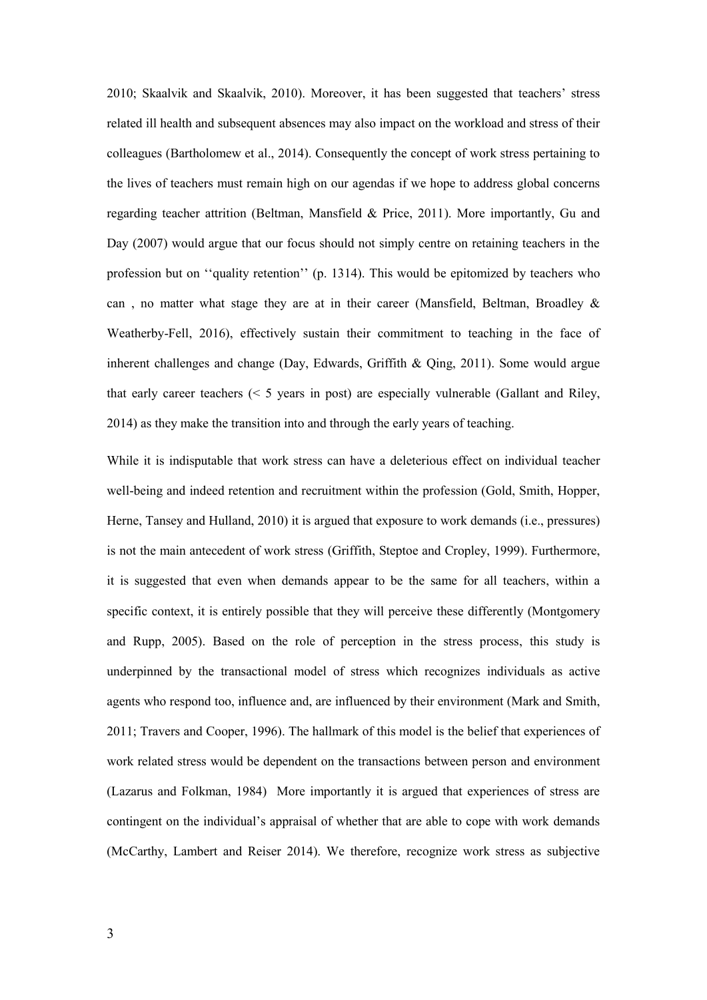2010; Skaalvik and Skaalvik, 2010). Moreover, it has been suggested that teachers' stress related ill health and subsequent absences may also impact on the workload and stress of their colleagues (Bartholomew et al., 2014). Consequently the concept of work stress pertaining to the lives of teachers must remain high on our agendas if we hope to address global concerns regarding teacher attrition (Beltman, Mansfield & Price, 2011). More importantly, Gu and Day (2007) would argue that our focus should not simply centre on retaining teachers in the profession but on ''quality retention'' (p. 1314). This would be epitomized by teachers who can , no matter what stage they are at in their career (Mansfield, Beltman, Broadley & Weatherby-Fell, 2016), effectively sustain their commitment to teaching in the face of inherent challenges and change (Day, Edwards, Griffith & Qing, 2011). Some would argue that early career teachers (< 5 years in post) are especially vulnerable (Gallant and Riley, 2014) as they make the transition into and through the early years of teaching.

While it is indisputable that work stress can have a deleterious effect on individual teacher well-being and indeed retention and recruitment within the profession (Gold, Smith, Hopper, Herne, Tansey and Hulland, 2010) it is argued that exposure to work demands (i.e., pressures) is not the main antecedent of work stress (Griffith, Steptoe and Cropley, 1999). Furthermore, it is suggested that even when demands appear to be the same for all teachers, within a specific context, it is entirely possible that they will perceive these differently (Montgomery and Rupp, 2005). Based on the role of perception in the stress process, this study is underpinned by the transactional model of stress which recognizes individuals as active agents who respond too, influence and, are influenced by their environment (Mark and Smith, 2011; Travers and Cooper, 1996). The hallmark of this model is the belief that experiences of work related stress would be dependent on the transactions between person and environment (Lazarus and Folkman, 1984) More importantly it is argued that experiences of stress are contingent on the individual's appraisal of whether that are able to cope with work demands (McCarthy, Lambert and Reiser 2014). We therefore, recognize work stress as subjective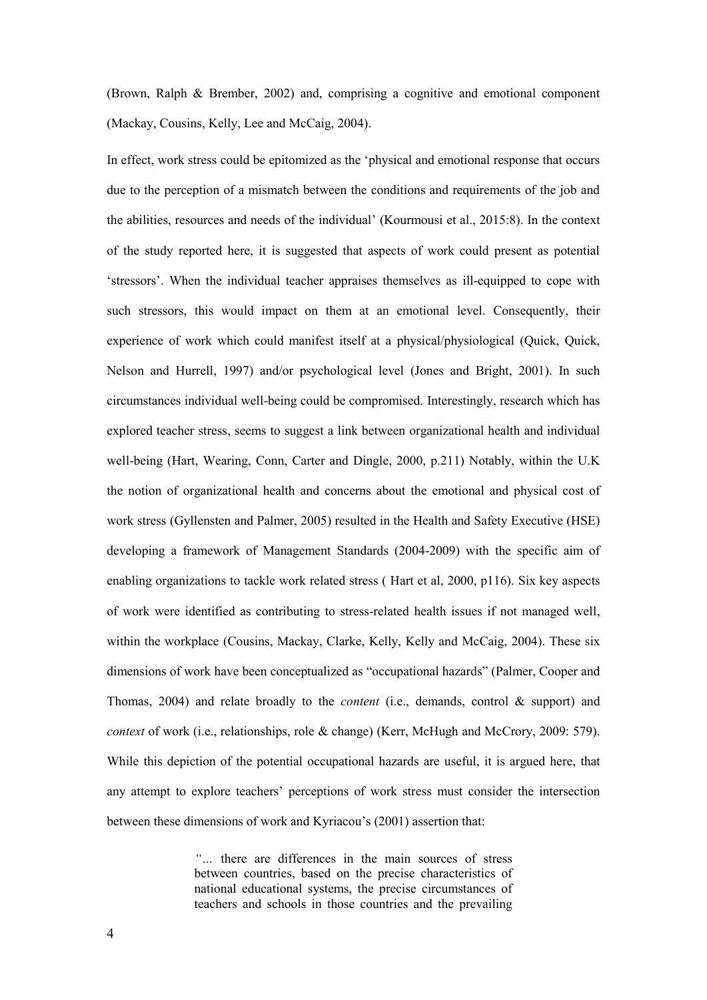(Brown, Ralph & Brember, 2002) and, comprising a cognitive and emotional component (Mackay, Cousins, Kelly, Lee and McCaig, 2004).

In effect, work stress could be epitomized as the 'physical and emotional response that occurs due to the perception of a mismatch between the conditions and requirements of the job and the abilities, resources and needs of the individual' (Kourmousi et al., 2015:8). In the context of the study reported here, it is suggested that aspects of work could present as potential 'stressors'. When the individual teacher appraises themselves as ill-equipped to cope with such stressors, this would impact on them at an emotional level. Consequently, their experience of work which could manifest itself at a physical/physiological (Quick, Quick, Nelson and Hurrell, 1997) and/or psychological level (Jones and Bright, 2001). In such circumstances individual well-being could be compromised. Interestingly, research which has explored teacher stress, seems to suggest a link between organizational health and individual well-being (Hart, Wearing, Conn, Carter and Dingle, 2000, p.211) Notably, within the U.K the notion of organizational health and concerns about the emotional and physical cost of work stress (Gyllensten and Palmer, 2005) resulted in the Health and Safety Executive (HSE) developing a framework of Management Standards (2004-2009) with the specific aim of enabling organizations to tackle work related stress ( Hart et al, 2000, p116). Six key aspects of work were identified as contributing to stress-related health issues if not managed well, within the workplace (Cousins, Mackay, Clarke, Kelly, Kelly and McCaig, 2004). These six dimensions of work have been conceptualized as "occupational hazards" (Palmer, Cooper and Thomas, 2004) and relate broadly to the *content* (i.e., demands, control & support) and *context* of work (i.e., relationships, role & change) (Kerr, McHugh and McCrory, 2009: 579). While this depiction of the potential occupational hazards are useful, it is argued here, that any attempt to explore teachers' perceptions of work stress must consider the intersection between these dimensions of work and Kyriacou's (2001) assertion that:

> *"…* there are differences in the main sources of stress between countries, based on the precise characteristics of national educational systems, the precise circumstances of teachers and schools in those countries and the prevailing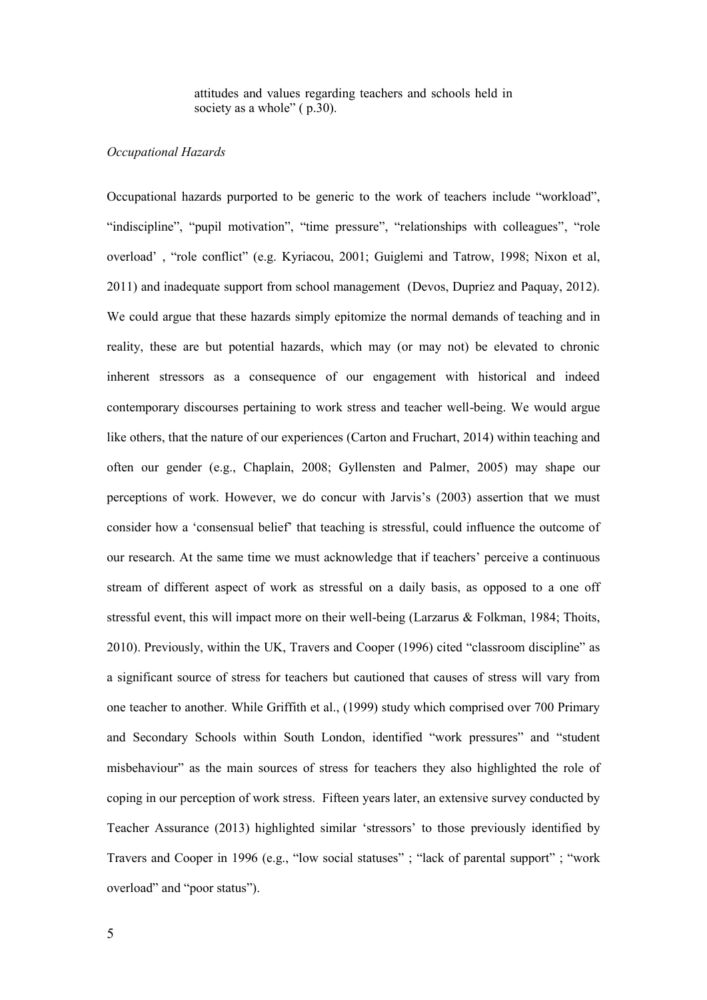attitudes and values regarding teachers and schools held in society as a whole" ( $p.30$ ).

#### *Occupational Hazards*

Occupational hazards purported to be generic to the work of teachers include "workload", "indiscipline", "pupil motivation", "time pressure", "relationships with colleagues", "role overload' , "role conflict" (e.g. Kyriacou, 2001; Guiglemi and Tatrow, 1998; Nixon et al, 2011) and inadequate support from school management (Devos, Dupriez and Paquay, 2012). We could argue that these hazards simply epitomize the normal demands of teaching and in reality, these are but potential hazards, which may (or may not) be elevated to chronic inherent stressors as a consequence of our engagement with historical and indeed contemporary discourses pertaining to work stress and teacher well-being. We would argue like others, that the nature of our experiences (Carton and Fruchart, 2014) within teaching and often our gender (e.g., Chaplain, 2008; Gyllensten and Palmer, 2005) may shape our perceptions of work. However, we do concur with Jarvis's (2003) assertion that we must consider how a 'consensual belief' that teaching is stressful, could influence the outcome of our research. At the same time we must acknowledge that if teachers' perceive a continuous stream of different aspect of work as stressful on a daily basis, as opposed to a one off stressful event, this will impact more on their well-being (Larzarus & Folkman, 1984; Thoits, 2010). Previously, within the UK, Travers and Cooper (1996) cited "classroom discipline" as a significant source of stress for teachers but cautioned that causes of stress will vary from one teacher to another. While Griffith et al., (1999) study which comprised over 700 Primary and Secondary Schools within South London, identified "work pressures" and "student misbehaviour" as the main sources of stress for teachers they also highlighted the role of coping in our perception of work stress. Fifteen years later, an extensive survey conducted by Teacher Assurance (2013) highlighted similar 'stressors' to those previously identified by Travers and Cooper in 1996 (e.g., "low social statuses" ; "lack of parental support" ; "work overload" and "poor status").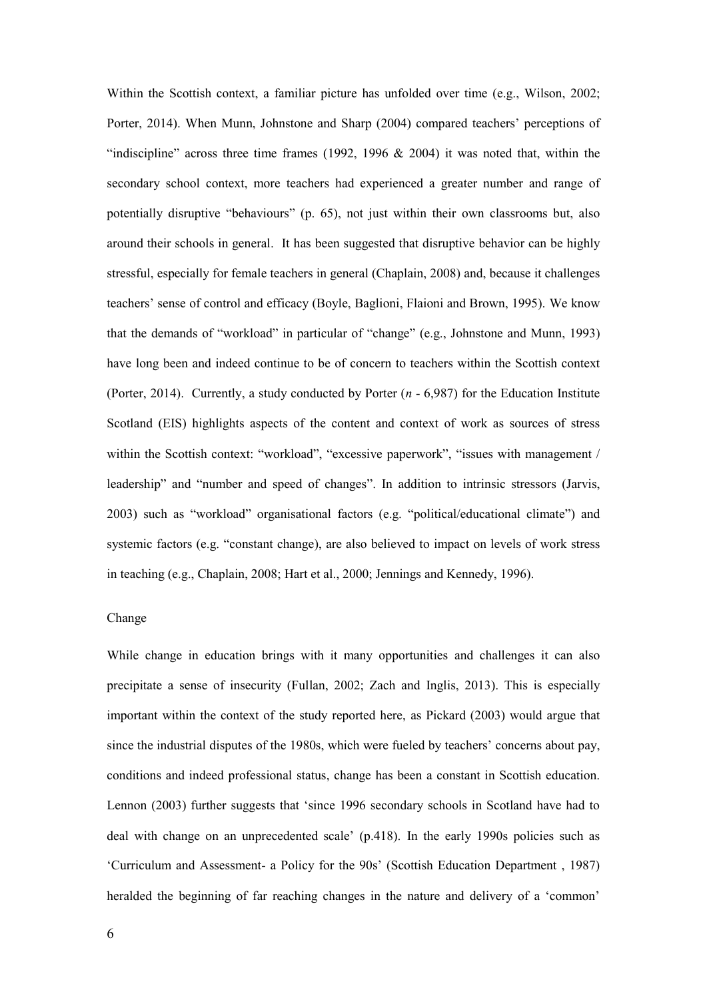Within the Scottish context, a familiar picture has unfolded over time (e.g., Wilson, 2002; Porter, 2014). When Munn, Johnstone and Sharp (2004) compared teachers' perceptions of "indiscipline" across three time frames  $(1992, 1996 \& 2004)$  it was noted that, within the secondary school context, more teachers had experienced a greater number and range of potentially disruptive "behaviours" (p. 65), not just within their own classrooms but, also around their schools in general. It has been suggested that disruptive behavior can be highly stressful, especially for female teachers in general (Chaplain, 2008) and, because it challenges teachers' sense of control and efficacy (Boyle, Baglioni, Flaioni and Brown, 1995). We know that the demands of "workload" in particular of "change" (e.g., Johnstone and Munn, 1993) have long been and indeed continue to be of concern to teachers within the Scottish context (Porter, 2014). Currently, a study conducted by Porter (*n* - 6,987) for the Education Institute Scotland (EIS) highlights aspects of the content and context of work as sources of stress within the Scottish context: "workload", "excessive paperwork", "issues with management / leadership" and "number and speed of changes". In addition to intrinsic stressors (Jarvis, 2003) such as "workload" organisational factors (e.g. "political/educational climate") and systemic factors (e.g. "constant change), are also believed to impact on levels of work stress in teaching (e.g., Chaplain, 2008; Hart et al., 2000; Jennings and Kennedy, 1996).

#### Change

While change in education brings with it many opportunities and challenges it can also precipitate a sense of insecurity (Fullan, 2002; Zach and Inglis, 2013). This is especially important within the context of the study reported here, as Pickard (2003) would argue that since the industrial disputes of the 1980s, which were fueled by teachers' concerns about pay, conditions and indeed professional status, change has been a constant in Scottish education. Lennon (2003) further suggests that 'since 1996 secondary schools in Scotland have had to deal with change on an unprecedented scale' (p.418). In the early 1990s policies such as 'Curriculum and Assessment- a Policy for the 90s' (Scottish Education Department , 1987) heralded the beginning of far reaching changes in the nature and delivery of a 'common'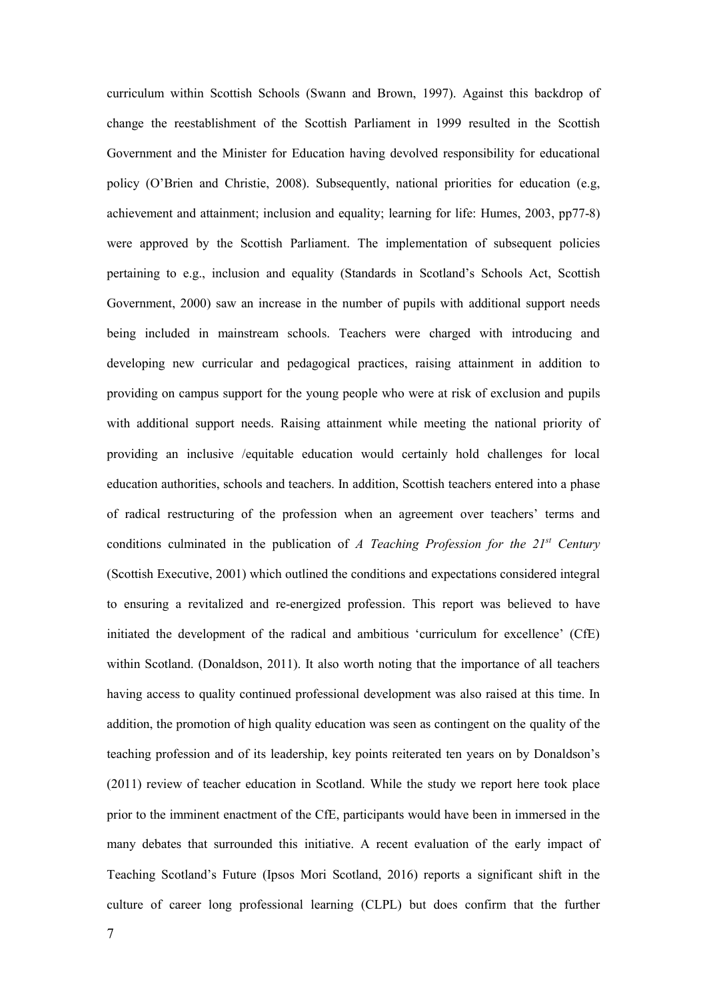curriculum within Scottish Schools (Swann and Brown, 1997). Against this backdrop of change the reestablishment of the Scottish Parliament in 1999 resulted in the Scottish Government and the Minister for Education having devolved responsibility for educational policy (O'Brien and Christie, 2008). Subsequently, national priorities for education (e.g, achievement and attainment; inclusion and equality; learning for life: Humes, 2003, pp77-8) were approved by the Scottish Parliament. The implementation of subsequent policies pertaining to e.g., inclusion and equality (Standards in Scotland's Schools Act, Scottish Government, 2000) saw an increase in the number of pupils with additional support needs being included in mainstream schools. Teachers were charged with introducing and developing new curricular and pedagogical practices, raising attainment in addition to providing on campus support for the young people who were at risk of exclusion and pupils with additional support needs. Raising attainment while meeting the national priority of providing an inclusive /equitable education would certainly hold challenges for local education authorities, schools and teachers. In addition, Scottish teachers entered into a phase of radical restructuring of the profession when an agreement over teachers' terms and conditions culminated in the publication of *A Teaching Profession for the 21st Century* (Scottish Executive, 2001) which outlined the conditions and expectations considered integral to ensuring a revitalized and re-energized profession. This report was believed to have initiated the development of the radical and ambitious 'curriculum for excellence' (CfE) within Scotland. (Donaldson, 2011). It also worth noting that the importance of all teachers having access to quality continued professional development was also raised at this time. In addition, the promotion of high quality education was seen as contingent on the quality of the teaching profession and of its leadership, key points reiterated ten years on by Donaldson's (2011) review of teacher education in Scotland. While the study we report here took place prior to the imminent enactment of the CfE, participants would have been in immersed in the many debates that surrounded this initiative. A recent evaluation of the early impact of Teaching Scotland's Future (Ipsos Mori Scotland, 2016) reports a significant shift in the culture of career long professional learning (CLPL) but does confirm that the further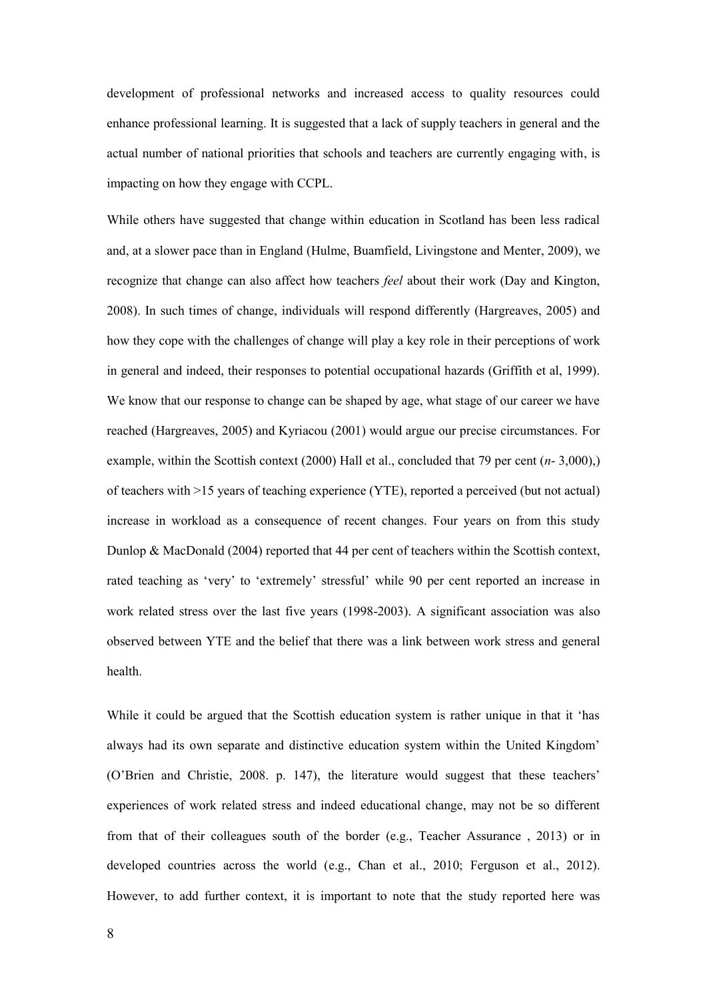development of professional networks and increased access to quality resources could enhance professional learning. It is suggested that a lack of supply teachers in general and the actual number of national priorities that schools and teachers are currently engaging with, is impacting on how they engage with CCPL.

While others have suggested that change within education in Scotland has been less radical and, at a slower pace than in England (Hulme, Buamfield, Livingstone and Menter, 2009), we recognize that change can also affect how teachers *feel* about their work (Day and Kington, 2008). In such times of change, individuals will respond differently (Hargreaves, 2005) and how they cope with the challenges of change will play a key role in their perceptions of work in general and indeed, their responses to potential occupational hazards (Griffith et al, 1999). We know that our response to change can be shaped by age, what stage of our career we have reached (Hargreaves, 2005) and Kyriacou (2001) would argue our precise circumstances. For example, within the Scottish context (2000) Hall et al., concluded that 79 per cent (*n*- 3,000),) of teachers with >15 years of teaching experience (YTE), reported a perceived (but not actual) increase in workload as a consequence of recent changes. Four years on from this study Dunlop & MacDonald (2004) reported that 44 per cent of teachers within the Scottish context, rated teaching as 'very' to 'extremely' stressful' while 90 per cent reported an increase in work related stress over the last five years (1998-2003). A significant association was also observed between YTE and the belief that there was a link between work stress and general health.

While it could be argued that the Scottish education system is rather unique in that it 'has always had its own separate and distinctive education system within the United Kingdom' (O'Brien and Christie, 2008. p. 147), the literature would suggest that these teachers' experiences of work related stress and indeed educational change, may not be so different from that of their colleagues south of the border (e.g., Teacher Assurance , 2013) or in developed countries across the world (e.g., Chan et al., 2010; Ferguson et al., 2012). However, to add further context, it is important to note that the study reported here was

8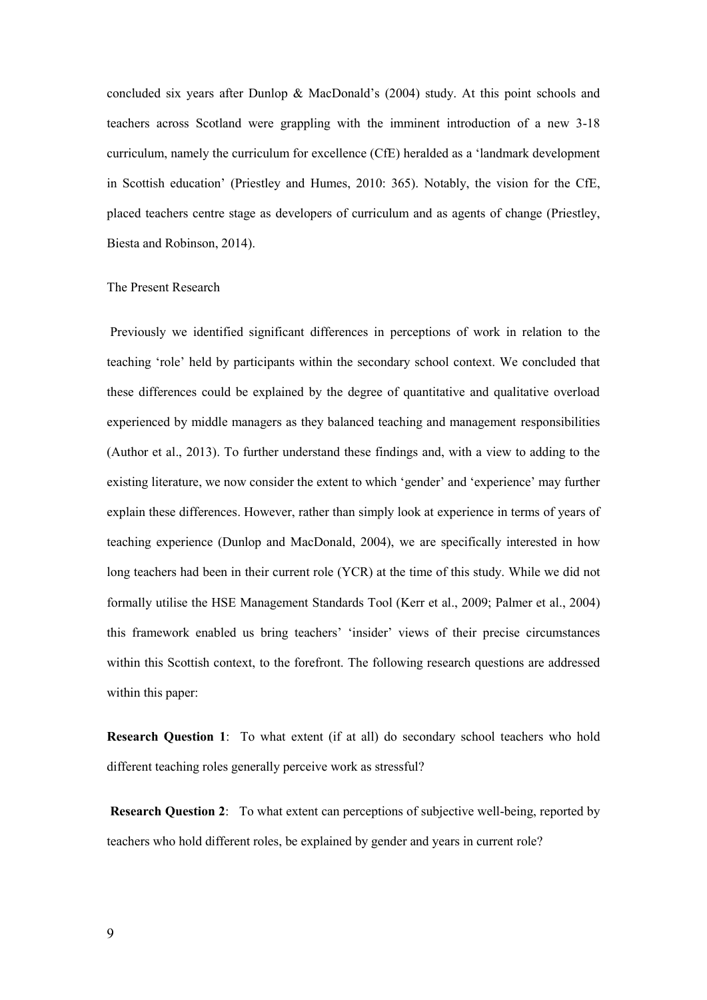concluded six years after Dunlop & MacDonald's (2004) study. At this point schools and teachers across Scotland were grappling with the imminent introduction of a new 3-18 curriculum, namely the curriculum for excellence (CfE) heralded as a 'landmark development in Scottish education' (Priestley and Humes, 2010: 365). Notably, the vision for the CfE, placed teachers centre stage as developers of curriculum and as agents of change (Priestley, Biesta and Robinson, 2014).

#### The Present Research

Previously we identified significant differences in perceptions of work in relation to the teaching 'role' held by participants within the secondary school context. We concluded that these differences could be explained by the degree of quantitative and qualitative overload experienced by middle managers as they balanced teaching and management responsibilities (Author et al., 2013). To further understand these findings and, with a view to adding to the existing literature, we now consider the extent to which 'gender' and 'experience' may further explain these differences. However, rather than simply look at experience in terms of years of teaching experience (Dunlop and MacDonald, 2004), we are specifically interested in how long teachers had been in their current role (YCR) at the time of this study. While we did not formally utilise the HSE Management Standards Tool (Kerr et al., 2009; Palmer et al., 2004) this framework enabled us bring teachers' 'insider' views of their precise circumstances within this Scottish context, to the forefront. The following research questions are addressed within this paper:

**Research Question 1**: To what extent (if at all) do secondary school teachers who hold different teaching roles generally perceive work as stressful?

**Research Question 2**: To what extent can perceptions of subjective well-being, reported by teachers who hold different roles, be explained by gender and years in current role?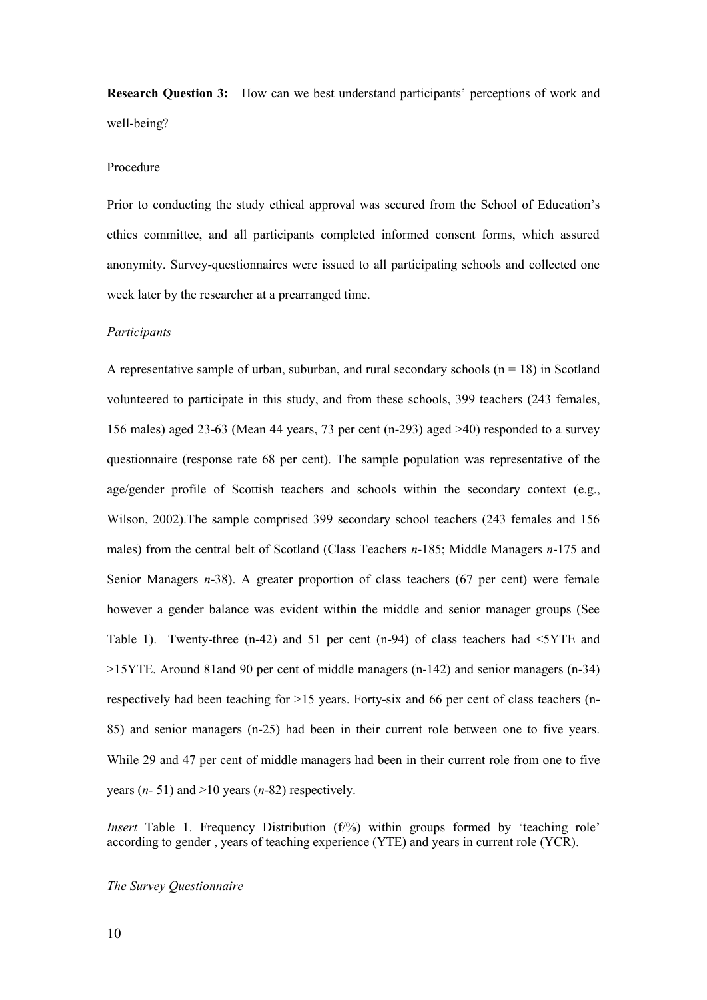**Research Question 3:** How can we best understand participants' perceptions of work and well-being?

#### Procedure

Prior to conducting the study ethical approval was secured from the School of Education's ethics committee, and all participants completed informed consent forms, which assured anonymity. Survey-questionnaires were issued to all participating schools and collected one week later by the researcher at a prearranged time.

#### *Participants*

A representative sample of urban, suburban, and rural secondary schools  $(n = 18)$  in Scotland volunteered to participate in this study, and from these schools, 399 teachers (243 females, 156 males) aged 23-63 (Mean 44 years, 73 per cent (n-293) aged >40) responded to a survey questionnaire (response rate 68 per cent). The sample population was representative of the age/gender profile of Scottish teachers and schools within the secondary context (e.g., Wilson, 2002).The sample comprised 399 secondary school teachers (243 females and 156 males) from the central belt of Scotland (Class Teachers *n*-185; Middle Managers *n*-175 and Senior Managers *n*-38). A greater proportion of class teachers (67 per cent) were female however a gender balance was evident within the middle and senior manager groups (See Table 1). Twenty-three (n-42) and 51 per cent (n-94) of class teachers had <5YTE and >15YTE. Around 81and 90 per cent of middle managers (n-142) and senior managers (n-34) respectively had been teaching for  $>15$  years. Forty-six and 66 per cent of class teachers (n-85) and senior managers (n-25) had been in their current role between one to five years. While 29 and 47 per cent of middle managers had been in their current role from one to five years (*n-* 51) and >10 years (*n*-82) respectively.

*Insert* Table 1. Frequency Distribution (f%) within groups formed by 'teaching role' according to gender , years of teaching experience (YTE) and years in current role (YCR).

#### *The Survey Questionnaire*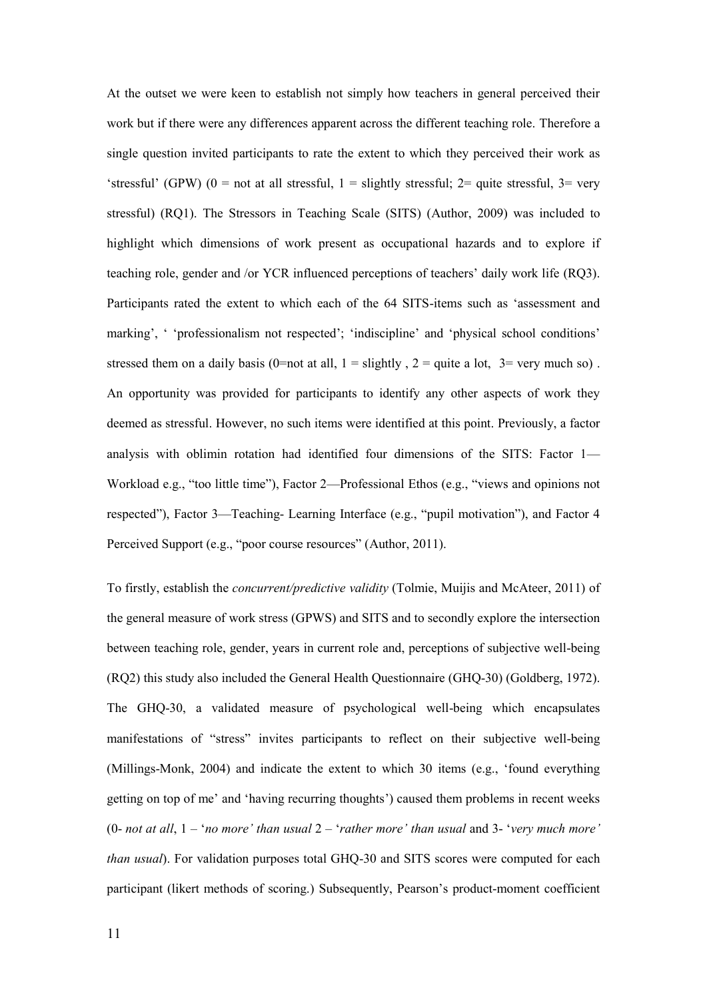At the outset we were keen to establish not simply how teachers in general perceived their work but if there were any differences apparent across the different teaching role. Therefore a single question invited participants to rate the extent to which they perceived their work as 'stressful' (GPW) ( $0 =$  not at all stressful,  $1 =$  slightly stressful;  $2 =$  quite stressful,  $3 =$  very stressful) (RQ1). The Stressors in Teaching Scale (SITS) (Author, 2009) was included to highlight which dimensions of work present as occupational hazards and to explore if teaching role, gender and /or YCR influenced perceptions of teachers' daily work life (RQ3). Participants rated the extent to which each of the 64 SITS-items such as 'assessment and marking', ' 'professionalism not respected'; 'indiscipline' and 'physical school conditions' stressed them on a daily basis (0=not at all,  $1 =$  slightly,  $2 =$  quite a lot,  $3 =$  very much so). An opportunity was provided for participants to identify any other aspects of work they deemed as stressful. However, no such items were identified at this point. Previously, a factor analysis with oblimin rotation had identified four dimensions of the SITS: Factor 1— Workload e.g., "too little time"), Factor 2—Professional Ethos (e.g., "views and opinions not respected"), Factor 3—Teaching- Learning Interface (e.g., "pupil motivation"), and Factor 4 Perceived Support (e.g., "poor course resources" (Author, 2011).

To firstly, establish the *concurrent/predictive validity* (Tolmie, Muijis and McAteer, 2011) of the general measure of work stress (GPWS) and SITS and to secondly explore the intersection between teaching role, gender, years in current role and, perceptions of subjective well-being (RQ2) this study also included the General Health Questionnaire (GHQ-30) (Goldberg, 1972). The GHQ-30, a validated measure of psychological well-being which encapsulates manifestations of "stress" invites participants to reflect on their subjective well-being (Millings-Monk, 2004) and indicate the extent to which 30 items (e.g., 'found everything getting on top of me' and 'having recurring thoughts') caused them problems in recent weeks (0- *not at all*, 1 – '*no more' than usual* 2 – '*rather more' than usual* and 3- '*very much more' than usual*). For validation purposes total GHQ-30 and SITS scores were computed for each participant (likert methods of scoring.) Subsequently, Pearson's product-moment coefficient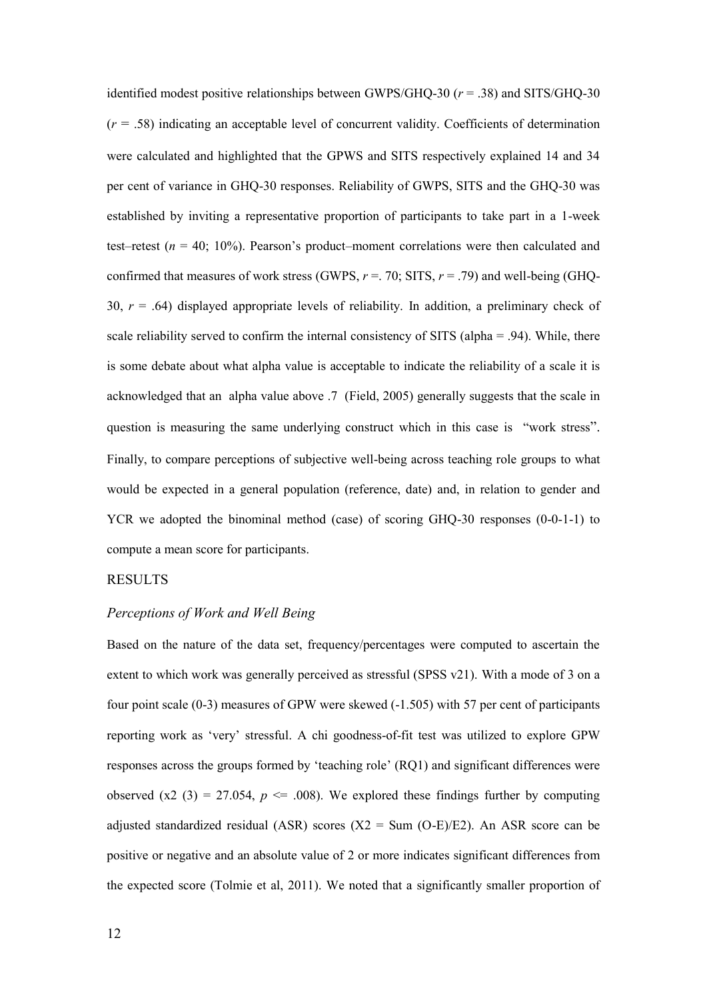identified modest positive relationships between GWPS/GHQ-30 (*r* = .38) and SITS/GHQ-30  $(r = .58)$  indicating an acceptable level of concurrent validity. Coefficients of determination were calculated and highlighted that the GPWS and SITS respectively explained 14 and 34 per cent of variance in GHQ-30 responses. Reliability of GWPS, SITS and the GHQ-30 was established by inviting a representative proportion of participants to take part in a 1-week test–retest ( $n = 40$ ; 10%). Pearson's product–moment correlations were then calculated and confirmed that measures of work stress (GWPS,  $r = 0.70$ ; SITS,  $r = 0.79$ ) and well-being (GHQ-30,  $r = .64$ ) displayed appropriate levels of reliability. In addition, a preliminary check of scale reliability served to confirm the internal consistency of SITS (alpha = .94). While, there is some debate about what alpha value is acceptable to indicate the reliability of a scale it is acknowledged that an alpha value above .7 (Field, 2005) generally suggests that the scale in question is measuring the same underlying construct which in this case is "work stress". Finally, to compare perceptions of subjective well-being across teaching role groups to what would be expected in a general population (reference, date) and, in relation to gender and YCR we adopted the binominal method (case) of scoring GHO-30 responses (0-0-1-1) to compute a mean score for participants.

#### RESULTS

#### *Perceptions of Work and Well Being*

Based on the nature of the data set, frequency/percentages were computed to ascertain the extent to which work was generally perceived as stressful (SPSS v21). With a mode of 3 on a four point scale (0-3) measures of GPW were skewed (-1.505) with 57 per cent of participants reporting work as 'very' stressful. A chi goodness-of-fit test was utilized to explore GPW responses across the groups formed by 'teaching role' (RQ1) and significant differences were observed  $(x2 (3) = 27.054, p \le 0.008)$ . We explored these findings further by computing adjusted standardized residual (ASR) scores ( $X2 = Sum (O-E)/E2$ ). An ASR score can be positive or negative and an absolute value of 2 or more indicates significant differences from the expected score (Tolmie et al, 2011). We noted that a significantly smaller proportion of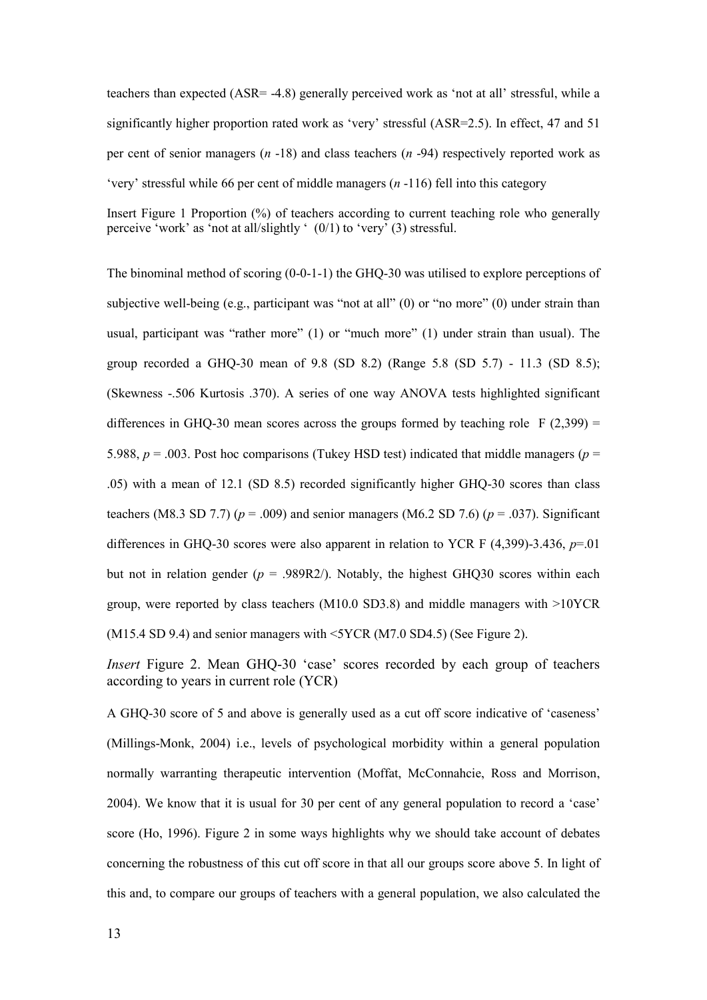teachers than expected (ASR= -4.8) generally perceived work as 'not at all' stressful, while a significantly higher proportion rated work as 'very' stressful (ASR=2.5). In effect, 47 and 51 per cent of senior managers (*n* -18) and class teachers (*n* -94) respectively reported work as 'very' stressful while 66 per cent of middle managers (*n* -116) fell into this category

Insert Figure 1 Proportion (%) of teachers according to current teaching role who generally perceive 'work' as 'not at all/slightly '  $(0/1)$  to 'very' (3) stressful.

The binominal method of scoring (0-0-1-1) the GHQ-30 was utilised to explore perceptions of subjective well-being (e.g., participant was "not at all" (0) or "no more" (0) under strain than usual, participant was "rather more" (1) or "much more" (1) under strain than usual). The group recorded a GHQ-30 mean of 9.8 (SD 8.2) (Range 5.8 (SD 5.7) - 11.3 (SD 8.5); (Skewness -.506 Kurtosis .370). A series of one way ANOVA tests highlighted significant differences in GHQ-30 mean scores across the groups formed by teaching role F  $(2,399)$  = 5.988,  $p = .003$ . Post hoc comparisons (Tukey HSD test) indicated that middle managers ( $p =$ .05) with a mean of 12.1 (SD 8.5) recorded significantly higher GHQ-30 scores than class teachers (M8.3 SD 7.7) ( $p = .009$ ) and senior managers (M6.2 SD 7.6) ( $p = .037$ ). Significant differences in GHQ-30 scores were also apparent in relation to YCR F (4,399)-3.436, *p*=.01 but not in relation gender  $(p = .989R2)$ . Notably, the highest GHQ30 scores within each group, were reported by class teachers (M10.0 SD3.8) and middle managers with >10YCR (M15.4 SD 9.4) and senior managers with <5YCR (M7.0 SD4.5) (See Figure 2).

*Insert* Figure 2. Mean GHQ-30 'case' scores recorded by each group of teachers according to years in current role (YCR)

A GHQ-30 score of 5 and above is generally used as a cut off score indicative of 'caseness' (Millings-Monk, 2004) i.e., levels of psychological morbidity within a general population normally warranting therapeutic intervention (Moffat, McConnahcie, Ross and Morrison, 2004). We know that it is usual for 30 per cent of any general population to record a 'case' score (Ho, 1996). Figure 2 in some ways highlights why we should take account of debates concerning the robustness of this cut off score in that all our groups score above 5. In light of this and, to compare our groups of teachers with a general population, we also calculated the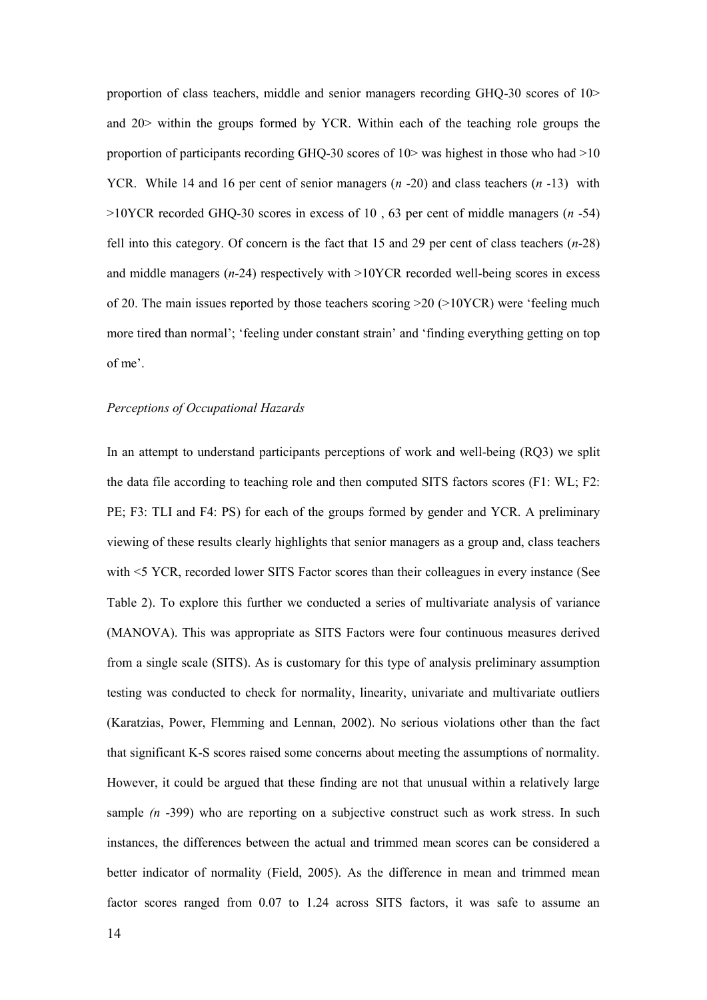proportion of class teachers, middle and senior managers recording GHQ-30 scores of 10> and 20> within the groups formed by YCR. Within each of the teaching role groups the proportion of participants recording GHQ-30 scores of  $10$  was highest in those who had  $>10$ YCR. While 14 and 16 per cent of senior managers (*n* -20) and class teachers (*n* -13) with >10YCR recorded GHQ-30 scores in excess of 10 , 63 per cent of middle managers (*n* -54) fell into this category. Of concern is the fact that 15 and 29 per cent of class teachers (*n*-28) and middle managers (*n*-24) respectively with >10YCR recorded well-being scores in excess of 20. The main issues reported by those teachers scoring  $>20$  ( $>10YCR$ ) were 'feeling much more tired than normal'; 'feeling under constant strain' and 'finding everything getting on top of me'.

#### *Perceptions of Occupational Hazards*

In an attempt to understand participants perceptions of work and well-being (RQ3) we split the data file according to teaching role and then computed SITS factors scores (F1: WL; F2: PE; F3: TLI and F4: PS) for each of the groups formed by gender and YCR. A preliminary viewing of these results clearly highlights that senior managers as a group and, class teachers with <5 YCR, recorded lower SITS Factor scores than their colleagues in every instance (See Table 2). To explore this further we conducted a series of multivariate analysis of variance (MANOVA). This was appropriate as SITS Factors were four continuous measures derived from a single scale (SITS). As is customary for this type of analysis preliminary assumption testing was conducted to check for normality, linearity, univariate and multivariate outliers (Karatzias, Power, Flemming and Lennan, 2002). No serious violations other than the fact that significant K-S scores raised some concerns about meeting the assumptions of normality. However, it could be argued that these finding are not that unusual within a relatively large sample (*n* -399) who are reporting on a subjective construct such as work stress. In such instances, the differences between the actual and trimmed mean scores can be considered a better indicator of normality (Field, 2005). As the difference in mean and trimmed mean factor scores ranged from 0.07 to 1.24 across SITS factors, it was safe to assume an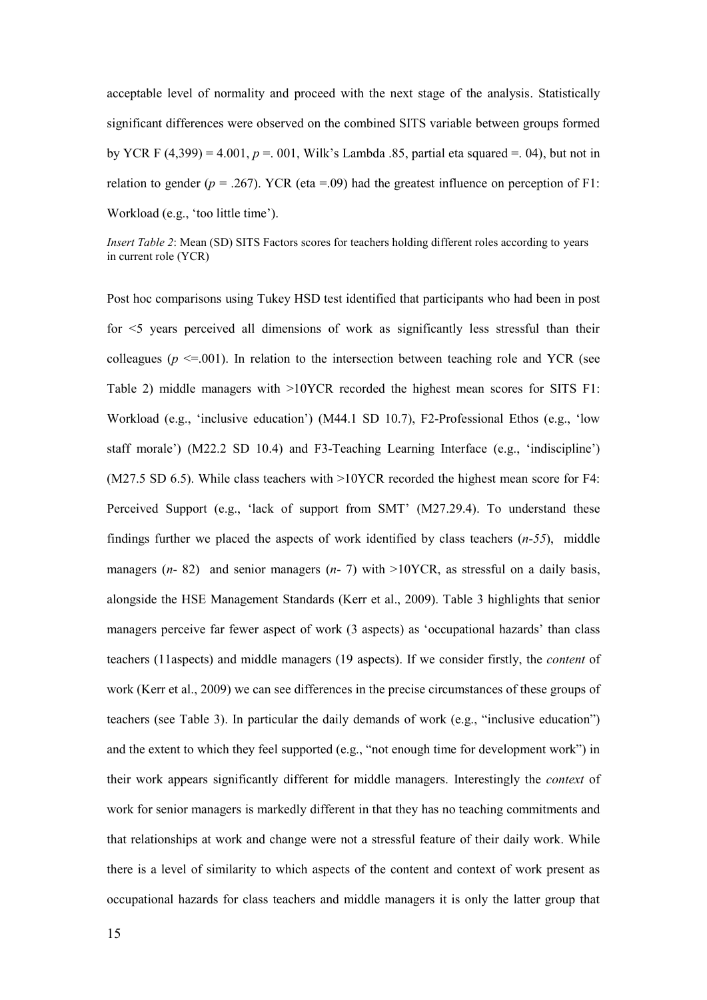acceptable level of normality and proceed with the next stage of the analysis. Statistically significant differences were observed on the combined SITS variable between groups formed by YCR F  $(4,399) = 4.001$ ,  $p = 0.001$ , Wilk's Lambda .85, partial eta squared = 0.4), but not in relation to gender ( $p = .267$ ). YCR (eta =.09) had the greatest influence on perception of F1: Workload (e.g., 'too little time').

*Insert Table 2*: Mean (SD) SITS Factors scores for teachers holding different roles according to years in current role (YCR)

Post hoc comparisons using Tukey HSD test identified that participants who had been in post for <5 years perceived all dimensions of work as significantly less stressful than their colleagues ( $p \le 0.001$ ). In relation to the intersection between teaching role and YCR (see Table 2) middle managers with >10YCR recorded the highest mean scores for SITS F1: Workload (e.g., 'inclusive education') (M44.1 SD 10.7), F2-Professional Ethos (e.g., 'low staff morale') (M22.2 SD 10.4) and F3-Teaching Learning Interface (e.g., 'indiscipline') (M27.5 SD 6.5). While class teachers with >10YCR recorded the highest mean score for F4: Perceived Support (e.g., 'lack of support from SMT' (M27.29.4). To understand these findings further we placed the aspects of work identified by class teachers (*n-55*), middle managers (*n*- 82) and senior managers (*n*- 7) with >10YCR, as stressful on a daily basis, alongside the HSE Management Standards (Kerr et al., 2009). Table 3 highlights that senior managers perceive far fewer aspect of work (3 aspects) as 'occupational hazards' than class teachers (11aspects) and middle managers (19 aspects). If we consider firstly, the *content* of work (Kerr et al., 2009) we can see differences in the precise circumstances of these groups of teachers (see Table 3). In particular the daily demands of work (e.g., "inclusive education") and the extent to which they feel supported  $(e.g., 'not enough time for development work")$  in their work appears significantly different for middle managers. Interestingly the *context* of work for senior managers is markedly different in that they has no teaching commitments and that relationships at work and change were not a stressful feature of their daily work. While there is a level of similarity to which aspects of the content and context of work present as occupational hazards for class teachers and middle managers it is only the latter group that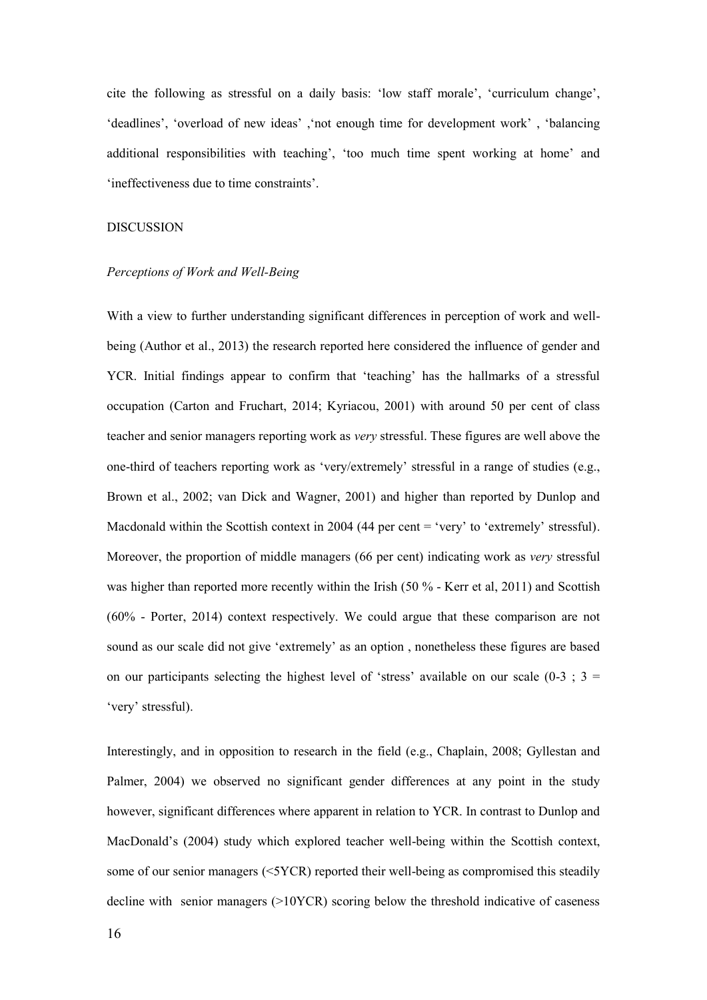cite the following as stressful on a daily basis: 'low staff morale', 'curriculum change', 'deadlines', 'overload of new ideas' ,'not enough time for development work' , 'balancing additional responsibilities with teaching', 'too much time spent working at home' and 'ineffectiveness due to time constraints'.

#### DISCUSSION

#### *Perceptions of Work and Well-Being*

With a view to further understanding significant differences in perception of work and wellbeing (Author et al., 2013) the research reported here considered the influence of gender and YCR. Initial findings appear to confirm that 'teaching' has the hallmarks of a stressful occupation (Carton and Fruchart, 2014; Kyriacou, 2001) with around 50 per cent of class teacher and senior managers reporting work as *very* stressful. These figures are well above the one-third of teachers reporting work as 'very/extremely' stressful in a range of studies (e.g., Brown et al., 2002; van Dick and Wagner, 2001) and higher than reported by Dunlop and Macdonald within the Scottish context in 2004 (44 per cent = 'very' to 'extremely' stressful). Moreover, the proportion of middle managers (66 per cent) indicating work as *very* stressful was higher than reported more recently within the Irish (50 % - Kerr et al, 2011) and Scottish (60% - Porter, 2014) context respectively. We could argue that these comparison are not sound as our scale did not give 'extremely' as an option , nonetheless these figures are based on our participants selecting the highest level of 'stress' available on our scale  $(0-3; 3 = 1)$ 'very' stressful).

Interestingly, and in opposition to research in the field (e.g., Chaplain, 2008; Gyllestan and Palmer, 2004) we observed no significant gender differences at any point in the study however, significant differences where apparent in relation to YCR. In contrast to Dunlop and MacDonald's (2004) study which explored teacher well-being within the Scottish context, some of our senior managers (<5YCR) reported their well-being as compromised this steadily decline with senior managers (>10YCR) scoring below the threshold indicative of caseness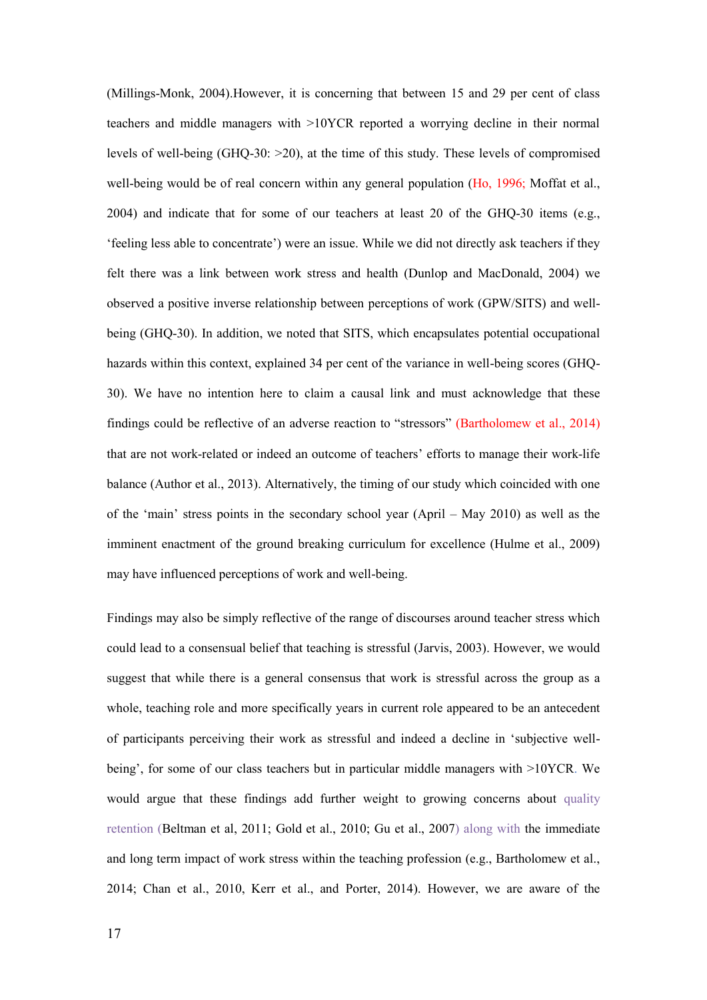(Millings-Monk, 2004).However, it is concerning that between 15 and 29 per cent of class teachers and middle managers with >10YCR reported a worrying decline in their normal levels of well-being (GHQ-30:  $>20$ ), at the time of this study. These levels of compromised well-being would be of real concern within any general population (Ho, 1996; Moffat et al., 2004) and indicate that for some of our teachers at least 20 of the GHQ-30 items (e.g., 'feeling less able to concentrate') were an issue. While we did not directly ask teachers if they felt there was a link between work stress and health (Dunlop and MacDonald, 2004) we observed a positive inverse relationship between perceptions of work (GPW/SITS) and wellbeing (GHQ-30). In addition, we noted that SITS, which encapsulates potential occupational hazards within this context, explained 34 per cent of the variance in well-being scores (GHQ-30). We have no intention here to claim a causal link and must acknowledge that these findings could be reflective of an adverse reaction to "stressors" (Bartholomew et al., 2014) that are not work-related or indeed an outcome of teachers' efforts to manage their work-life balance (Author et al., 2013). Alternatively, the timing of our study which coincided with one of the 'main' stress points in the secondary school year (April – May 2010) as well as the imminent enactment of the ground breaking curriculum for excellence (Hulme et al., 2009) may have influenced perceptions of work and well-being.

Findings may also be simply reflective of the range of discourses around teacher stress which could lead to a consensual belief that teaching is stressful (Jarvis, 2003). However, we would suggest that while there is a general consensus that work is stressful across the group as a whole, teaching role and more specifically years in current role appeared to be an antecedent of participants perceiving their work as stressful and indeed a decline in 'subjective wellbeing', for some of our class teachers but in particular middle managers with >10YCR. We would argue that these findings add further weight to growing concerns about quality retention (Beltman et al, 2011; Gold et al., 2010; Gu et al., 2007) along with the immediate and long term impact of work stress within the teaching profession (e.g., Bartholomew et al., 2014; Chan et al., 2010, Kerr et al., and Porter, 2014). However, we are aware of the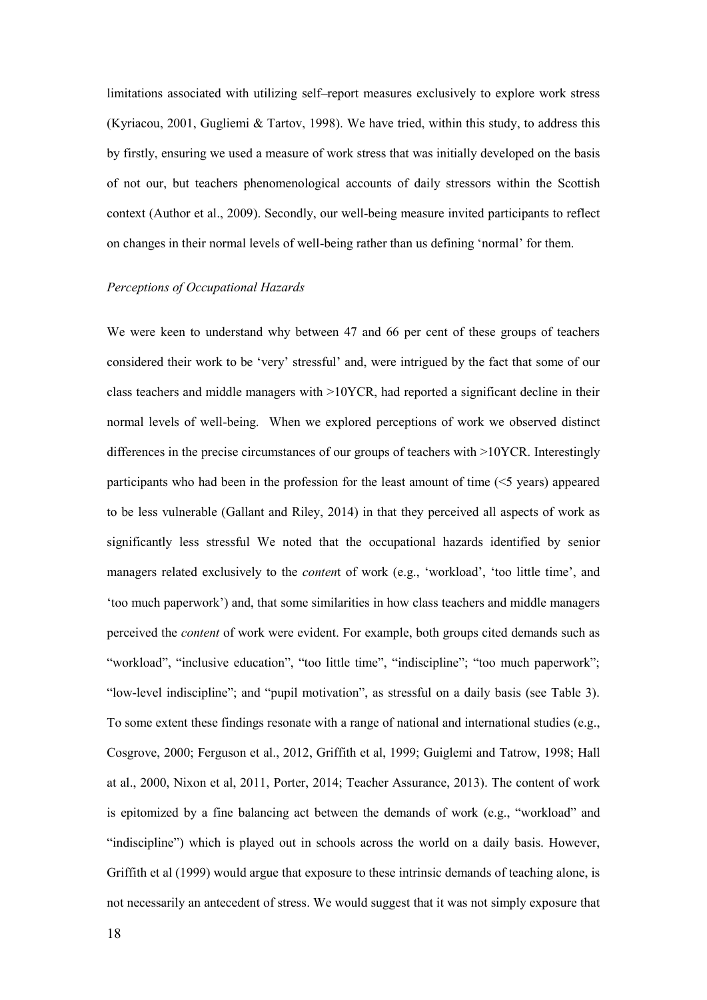limitations associated with utilizing self–report measures exclusively to explore work stress (Kyriacou, 2001, Gugliemi & Tartov, 1998). We have tried, within this study, to address this by firstly, ensuring we used a measure of work stress that was initially developed on the basis of not our, but teachers phenomenological accounts of daily stressors within the Scottish context (Author et al., 2009). Secondly, our well-being measure invited participants to reflect on changes in their normal levels of well-being rather than us defining 'normal' for them.

#### *Perceptions of Occupational Hazards*

We were keen to understand why between 47 and 66 per cent of these groups of teachers considered their work to be 'very' stressful' and, were intrigued by the fact that some of our class teachers and middle managers with >10YCR, had reported a significant decline in their normal levels of well-being. When we explored perceptions of work we observed distinct differences in the precise circumstances of our groups of teachers with >10YCR. Interestingly participants who had been in the profession for the least amount of time  $(<$  years) appeared to be less vulnerable (Gallant and Riley, 2014) in that they perceived all aspects of work as significantly less stressful We noted that the occupational hazards identified by senior managers related exclusively to the *conten*t of work (e.g., 'workload', 'too little time', and 'too much paperwork') and, that some similarities in how class teachers and middle managers perceived the *content* of work were evident. For example, both groups cited demands such as "workload", "inclusive education", "too little time", "indiscipline"; "too much paperwork"; "low-level indiscipline"; and "pupil motivation", as stressful on a daily basis (see Table 3). To some extent these findings resonate with a range of national and international studies (e.g., Cosgrove, 2000; Ferguson et al., 2012, Griffith et al, 1999; Guiglemi and Tatrow, 1998; Hall at al., 2000, Nixon et al, 2011, Porter, 2014; Teacher Assurance, 2013). The content of work is epitomized by a fine balancing act between the demands of work  $(e.g., "workload"$  and "indiscipline") which is played out in schools across the world on a daily basis. However, Griffith et al (1999) would argue that exposure to these intrinsic demands of teaching alone, is not necessarily an antecedent of stress. We would suggest that it was not simply exposure that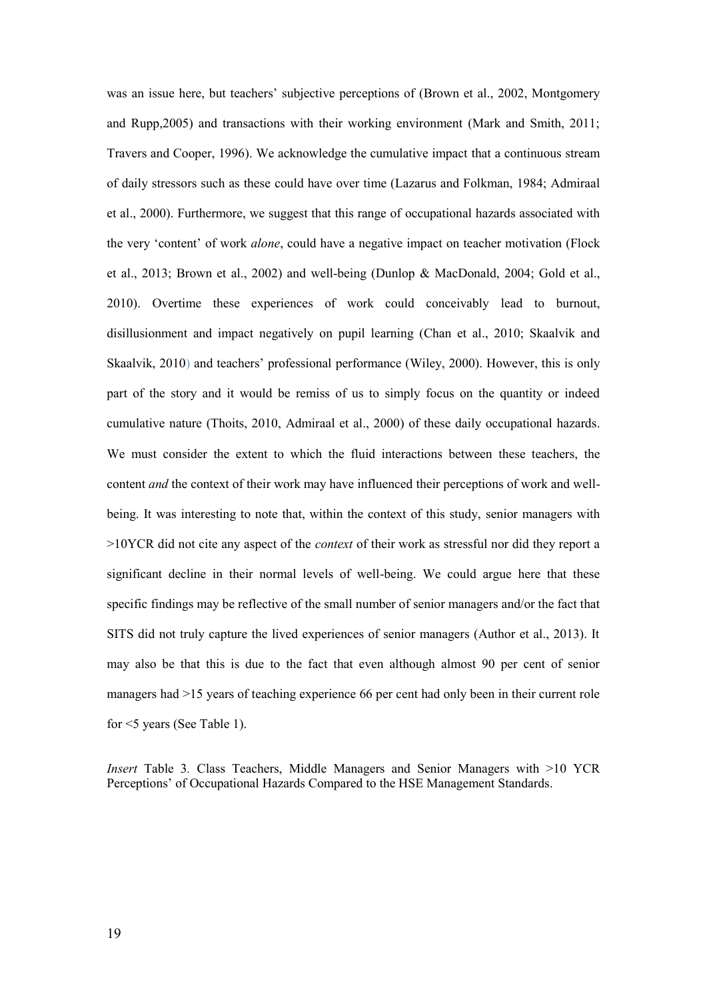was an issue here, but teachers' subjective perceptions of (Brown et al., 2002, Montgomery and Rupp,2005) and transactions with their working environment (Mark and Smith, 2011; Travers and Cooper, 1996). We acknowledge the cumulative impact that a continuous stream of daily stressors such as these could have over time (Lazarus and Folkman, 1984; Admiraal et al., 2000). Furthermore, we suggest that this range of occupational hazards associated with the very 'content' of work *alone*, could have a negative impact on teacher motivation (Flock et al., 2013; Brown et al., 2002) and well-being (Dunlop & MacDonald, 2004; Gold et al., 2010). Overtime these experiences of work could conceivably lead to burnout, disillusionment and impact negatively on pupil learning (Chan et al., 2010; Skaalvik and Skaalvik, 2010) and teachers' professional performance (Wiley, 2000). However, this is only part of the story and it would be remiss of us to simply focus on the quantity or indeed cumulative nature (Thoits, 2010, Admiraal et al., 2000) of these daily occupational hazards. We must consider the extent to which the fluid interactions between these teachers, the content *and* the context of their work may have influenced their perceptions of work and wellbeing. It was interesting to note that, within the context of this study, senior managers with >10YCR did not cite any aspect of the *context* of their work as stressful nor did they report a significant decline in their normal levels of well-being. We could argue here that these specific findings may be reflective of the small number of senior managers and/or the fact that SITS did not truly capture the lived experiences of senior managers (Author et al., 2013). It may also be that this is due to the fact that even although almost 90 per cent of senior managers had >15 years of teaching experience 66 per cent had only been in their current role for <5 years (See Table 1).

*Insert* Table 3*.* Class Teachers, Middle Managers and Senior Managers with >10 YCR Perceptions' of Occupational Hazards Compared to the HSE Management Standards.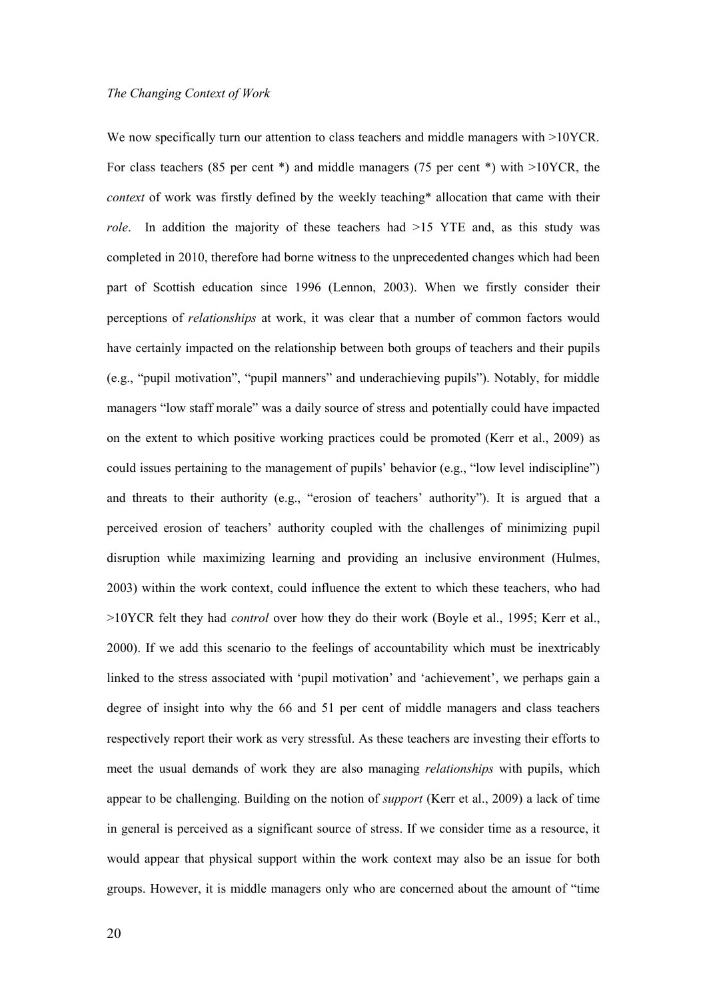We now specifically turn our attention to class teachers and middle managers with  $>10$ YCR. For class teachers (85 per cent \*) and middle managers (75 per cent \*) with >10YCR, the *context* of work was firstly defined by the weekly teaching\* allocation that came with their *role*. In addition the majority of these teachers had >15 YTE and, as this study was completed in 2010, therefore had borne witness to the unprecedented changes which had been part of Scottish education since 1996 (Lennon, 2003). When we firstly consider their perceptions of *relationships* at work, it was clear that a number of common factors would have certainly impacted on the relationship between both groups of teachers and their pupils (e.g., "pupil motivation", "pupil manners" and underachieving pupils"). Notably, for middle managers "low staff morale" was a daily source of stress and potentially could have impacted on the extent to which positive working practices could be promoted (Kerr et al., 2009) as could issues pertaining to the management of pupils' behavior (e.g., "low level indiscipline") and threats to their authority (e.g., "erosion of teachers' authority"). It is argued that a perceived erosion of teachers' authority coupled with the challenges of minimizing pupil disruption while maximizing learning and providing an inclusive environment (Hulmes, 2003) within the work context, could influence the extent to which these teachers, who had >10YCR felt they had *control* over how they do their work (Boyle et al., 1995; Kerr et al., 2000). If we add this scenario to the feelings of accountability which must be inextricably linked to the stress associated with 'pupil motivation' and 'achievement', we perhaps gain a degree of insight into why the 66 and 51 per cent of middle managers and class teachers respectively report their work as very stressful. As these teachers are investing their efforts to meet the usual demands of work they are also managing *relationships* with pupils, which appear to be challenging. Building on the notion of *support* (Kerr et al., 2009) a lack of time in general is perceived as a significant source of stress. If we consider time as a resource, it would appear that physical support within the work context may also be an issue for both groups. However, it is middle managers only who are concerned about the amount of "time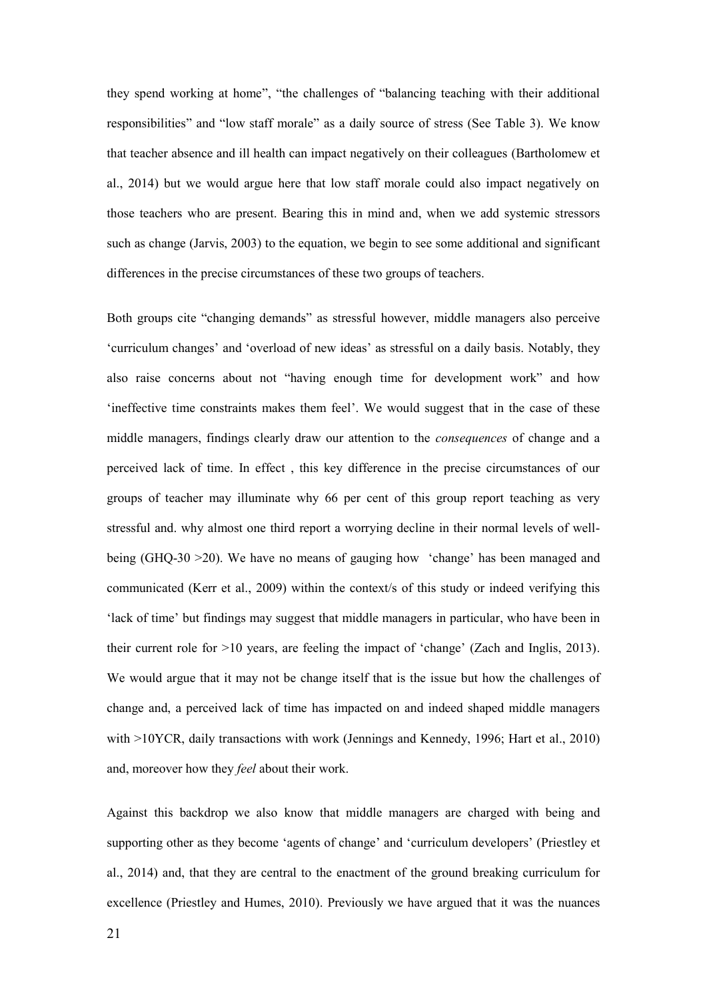they spend working at home", "the challenges of "balancing teaching with their additional responsibilities" and "low staff morale" as a daily source of stress (See Table 3). We know that teacher absence and ill health can impact negatively on their colleagues (Bartholomew et al., 2014) but we would argue here that low staff morale could also impact negatively on those teachers who are present. Bearing this in mind and, when we add systemic stressors such as change (Jarvis, 2003) to the equation, we begin to see some additional and significant differences in the precise circumstances of these two groups of teachers.

Both groups cite "changing demands" as stressful however, middle managers also perceive 'curriculum changes' and 'overload of new ideas' as stressful on a daily basis. Notably, they also raise concerns about not "having enough time for development work" and how 'ineffective time constraints makes them feel'. We would suggest that in the case of these middle managers, findings clearly draw our attention to the *consequences* of change and a perceived lack of time. In effect , this key difference in the precise circumstances of our groups of teacher may illuminate why 66 per cent of this group report teaching as very stressful and. why almost one third report a worrying decline in their normal levels of wellbeing (GHQ-30 >20). We have no means of gauging how 'change' has been managed and communicated (Kerr et al., 2009) within the context/s of this study or indeed verifying this 'lack of time' but findings may suggest that middle managers in particular, who have been in their current role for >10 years, are feeling the impact of 'change' (Zach and Inglis, 2013). We would argue that it may not be change itself that is the issue but how the challenges of change and, a perceived lack of time has impacted on and indeed shaped middle managers with >10YCR, daily transactions with work (Jennings and Kennedy, 1996; Hart et al., 2010) and, moreover how they *feel* about their work.

Against this backdrop we also know that middle managers are charged with being and supporting other as they become 'agents of change' and 'curriculum developers' (Priestley et al., 2014) and, that they are central to the enactment of the ground breaking curriculum for excellence (Priestley and Humes, 2010). Previously we have argued that it was the nuances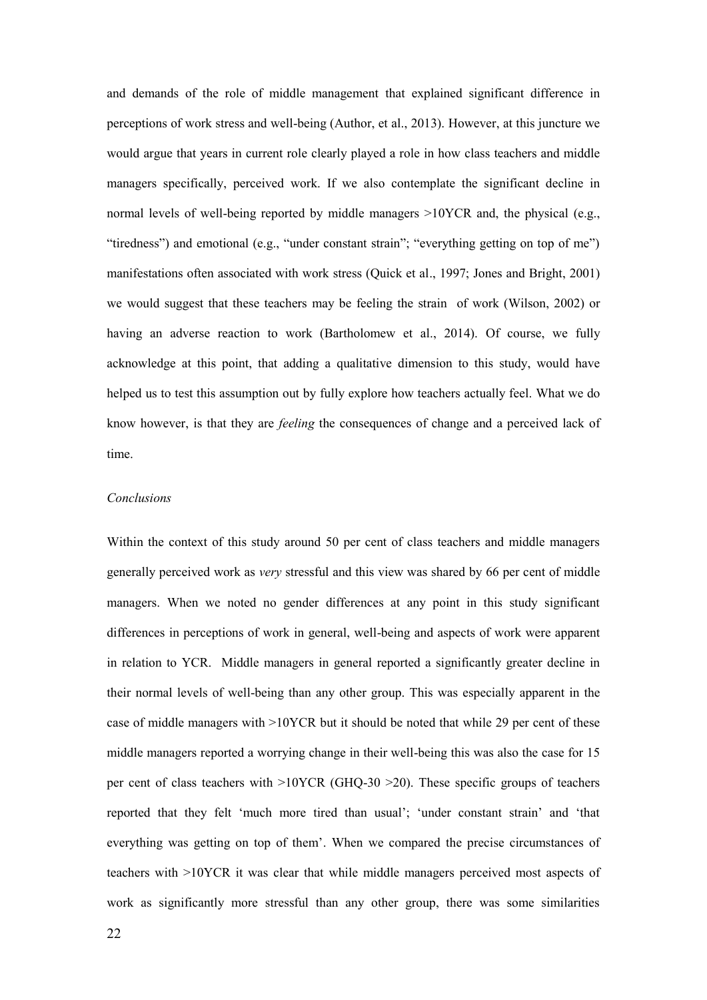and demands of the role of middle management that explained significant difference in perceptions of work stress and well-being (Author, et al., 2013). However, at this juncture we would argue that years in current role clearly played a role in how class teachers and middle managers specifically, perceived work. If we also contemplate the significant decline in normal levels of well-being reported by middle managers  $>10$ YCR and, the physical (e.g., "tiredness") and emotional (e.g., "under constant strain"; "everything getting on top of me") manifestations often associated with work stress (Quick et al., 1997; Jones and Bright, 2001) we would suggest that these teachers may be feeling the strain of work (Wilson, 2002) or having an adverse reaction to work (Bartholomew et al., 2014). Of course, we fully acknowledge at this point, that adding a qualitative dimension to this study, would have helped us to test this assumption out by fully explore how teachers actually feel. What we do know however, is that they are *feeling* the consequences of change and a perceived lack of time.

#### *Conclusions*

Within the context of this study around 50 per cent of class teachers and middle managers generally perceived work as *very* stressful and this view was shared by 66 per cent of middle managers. When we noted no gender differences at any point in this study significant differences in perceptions of work in general, well-being and aspects of work were apparent in relation to YCR. Middle managers in general reported a significantly greater decline in their normal levels of well-being than any other group. This was especially apparent in the case of middle managers with >10YCR but it should be noted that while 29 per cent of these middle managers reported a worrying change in their well-being this was also the case for 15 per cent of class teachers with >10YCR (GHQ-30 >20). These specific groups of teachers reported that they felt 'much more tired than usual'; 'under constant strain' and 'that everything was getting on top of them'. When we compared the precise circumstances of teachers with >10YCR it was clear that while middle managers perceived most aspects of work as significantly more stressful than any other group, there was some similarities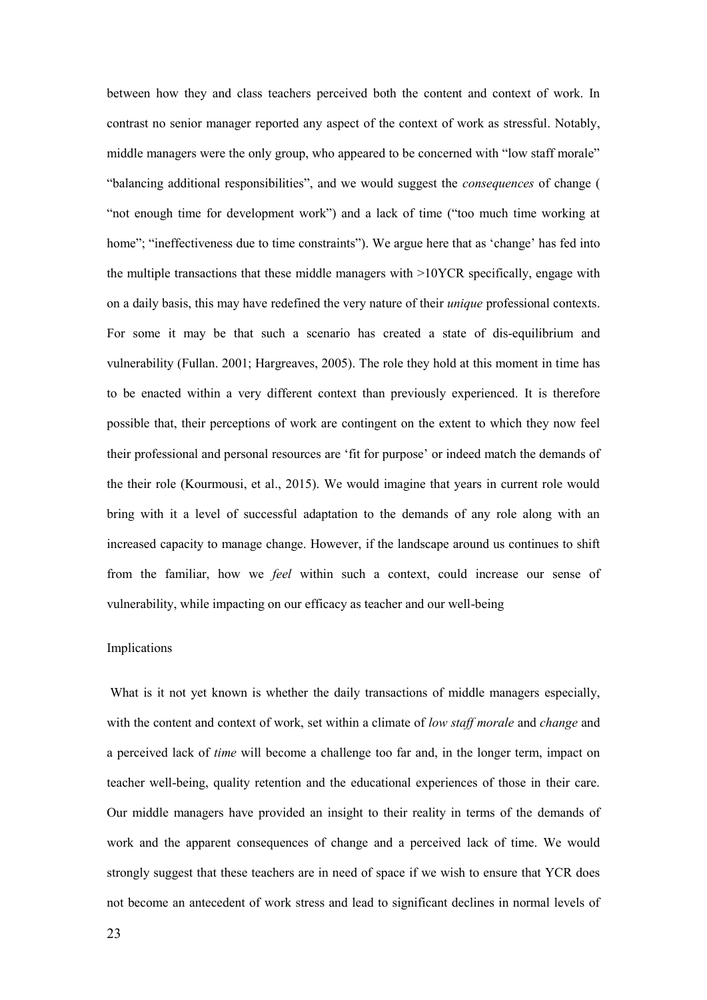between how they and class teachers perceived both the content and context of work. In contrast no senior manager reported any aspect of the context of work as stressful. Notably, middle managers were the only group, who appeared to be concerned with "low staff morale" "balancing additional responsibilities", and we would suggest the *consequences* of change ( "not enough time for development work") and a lack of time ("too much time working at home"; "ineffectiveness due to time constraints"). We argue here that as 'change' has fed into the multiple transactions that these middle managers with >10YCR specifically, engage with on a daily basis, this may have redefined the very nature of their *unique* professional contexts. For some it may be that such a scenario has created a state of dis-equilibrium and vulnerability (Fullan. 2001; Hargreaves, 2005). The role they hold at this moment in time has to be enacted within a very different context than previously experienced. It is therefore possible that, their perceptions of work are contingent on the extent to which they now feel their professional and personal resources are 'fit for purpose' or indeed match the demands of the their role (Kourmousi, et al., 2015). We would imagine that years in current role would bring with it a level of successful adaptation to the demands of any role along with an increased capacity to manage change. However, if the landscape around us continues to shift from the familiar, how we *feel* within such a context, could increase our sense of vulnerability, while impacting on our efficacy as teacher and our well-being

#### Implications

What is it not yet known is whether the daily transactions of middle managers especially, with the content and context of work, set within a climate of *low staff morale* and *change* and a perceived lack of *time* will become a challenge too far and, in the longer term, impact on teacher well-being, quality retention and the educational experiences of those in their care. Our middle managers have provided an insight to their reality in terms of the demands of work and the apparent consequences of change and a perceived lack of time. We would strongly suggest that these teachers are in need of space if we wish to ensure that YCR does not become an antecedent of work stress and lead to significant declines in normal levels of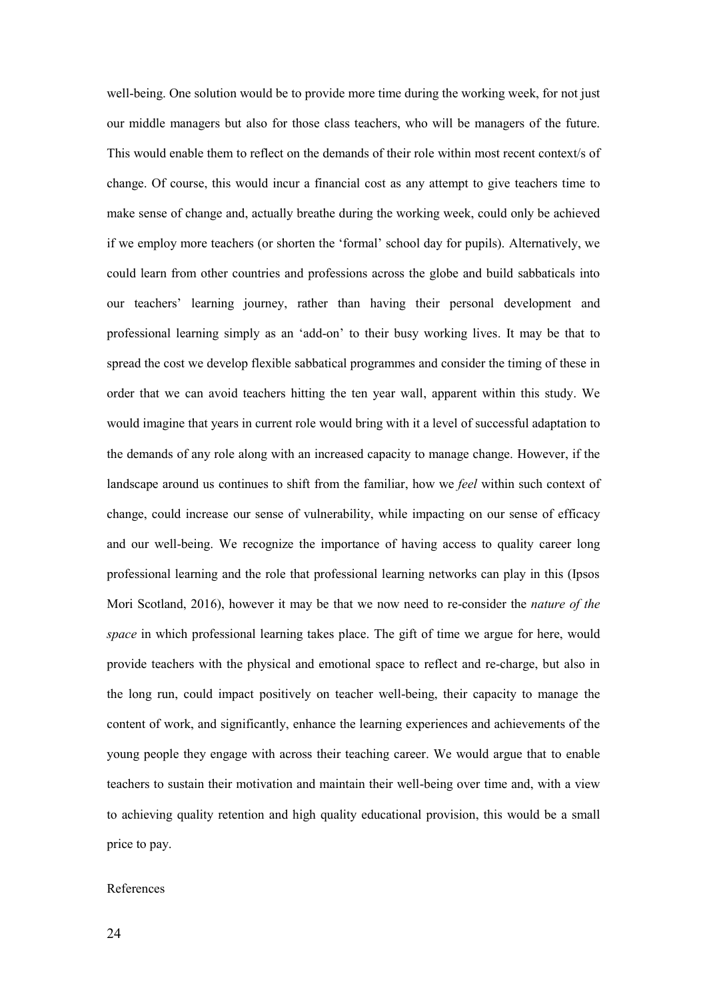well-being. One solution would be to provide more time during the working week, for not just our middle managers but also for those class teachers, who will be managers of the future. This would enable them to reflect on the demands of their role within most recent context/s of change. Of course, this would incur a financial cost as any attempt to give teachers time to make sense of change and, actually breathe during the working week, could only be achieved if we employ more teachers (or shorten the 'formal' school day for pupils). Alternatively, we could learn from other countries and professions across the globe and build sabbaticals into our teachers' learning journey, rather than having their personal development and professional learning simply as an 'add-on' to their busy working lives. It may be that to spread the cost we develop flexible sabbatical programmes and consider the timing of these in order that we can avoid teachers hitting the ten year wall, apparent within this study. We would imagine that years in current role would bring with it a level of successful adaptation to the demands of any role along with an increased capacity to manage change. However, if the landscape around us continues to shift from the familiar, how we *feel* within such context of change, could increase our sense of vulnerability, while impacting on our sense of efficacy and our well-being. We recognize the importance of having access to quality career long professional learning and the role that professional learning networks can play in this (Ipsos Mori Scotland, 2016), however it may be that we now need to re-consider the *nature of the space* in which professional learning takes place. The gift of time we argue for here, would provide teachers with the physical and emotional space to reflect and re-charge, but also in the long run, could impact positively on teacher well-being, their capacity to manage the content of work, and significantly, enhance the learning experiences and achievements of the young people they engage with across their teaching career. We would argue that to enable teachers to sustain their motivation and maintain their well-being over time and, with a view to achieving quality retention and high quality educational provision, this would be a small price to pay.

#### References

24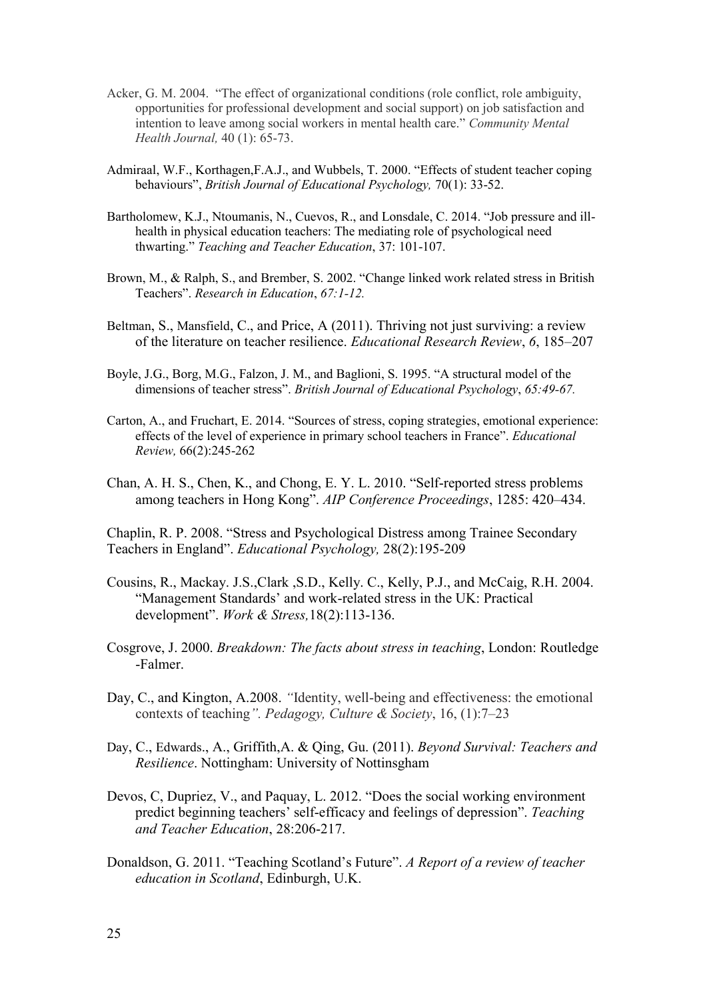- Acker, G. M. 2004. "The effect of organizational conditions (role conflict, role ambiguity, opportunities for professional development and social support) on job satisfaction and intention to leave among social workers in mental health care." *Community Mental Health Journal,* 40 (1): 65-73.
- Admiraal, W.F., Korthagen,F.A.J., and Wubbels, T. 2000. "Effects of student teacher coping behaviours", *British Journal of Educational Psychology,* 70(1): 33-52.
- Bartholomew, K.J., Ntoumanis, N., Cuevos, R., and Lonsdale, C. 2014. "Job pressure and illhealth in physical education teachers: The mediating role of psychological need thwarting." *Teaching and Teacher Education*, 37: 101-107.
- Brown, M., & Ralph, S., and Brember, S. 2002. "Change linked work related stress in British Teachers". *Research in Education*, *67:1-12.*
- Beltman, S., Mansfield, C., and Price, A (2011). Thriving not just surviving: a review of the literature on teacher resilience. *Educational Research Review*, *6*, 185–207
- Boyle, J.G., Borg, M.G., Falzon, J. M., and Baglioni, S. 1995. "A structural model of the dimensions of teacher stress". *British Journal of Educational Psychology*, *65:49-67.*
- Carton, A., and Fruchart, E. 2014. "Sources of stress, coping strategies, emotional experience: effects of the level of experience in primary school teachers in France". *Educational Review,* 66(2):245-262
- Chan, A. H. S., Chen, K., and Chong, E. Y. L. 2010. "Self-reported stress problems among teachers in Hong Kong". *AIP Conference Proceedings*, 1285: 420–434.

Chaplin, R. P. 2008. "Stress and Psychological Distress among Trainee Secondary Teachers in England". *Educational Psychology,* 28(2):195-209

- Cousins, R., Mackay. J.S.,Clark ,S.D., Kelly. C., Kelly, P.J., and McCaig, R.H. 2004. "Management Standards' and work-related stress in the UK: Practical development". *Work & Stress,*18(2):113-136.
- Cosgrove, J. 2000. *Breakdown: The facts about stress in teaching*, London: Routledge -Falmer.
- Day, C., and Kington, A.2008. *"Identity, well-being and effectiveness: the emotional* contexts of teaching*". Pedagogy, Culture & Society*, 16, (1):7–23
- Day, C., Edwards., A., Griffith,A. & Qing, Gu. (2011). *Beyond Survival: Teachers and Resilience*. Nottingham: University of Nottinsgham
- Devos, C, Dupriez, V., and Paquay, L. 2012. "Does the social working environment predict beginning teachers' self-efficacy and feelings of depression". *Teaching and Teacher Education*, 28:206-217.
- Donaldson, G. 2011. "Teaching Scotland's Future". *A Report of a review of teacher education in Scotland*, Edinburgh, U.K.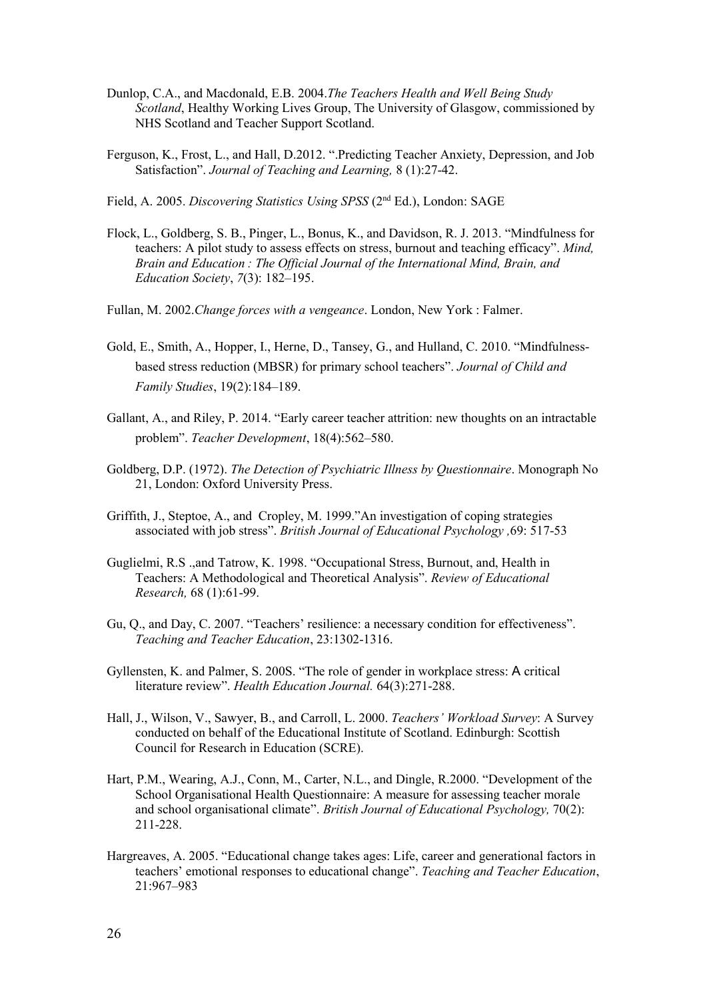- Dunlop, C.A., and Macdonald, E.B. 2004.*The Teachers Health and Well Being Study Scotland*, Healthy Working Lives Group, The University of Glasgow, commissioned by NHS Scotland and Teacher Support Scotland.
- Ferguson, K., Frost, L., and Hall, D.2012. ".Predicting Teacher Anxiety, Depression, and Job Satisfaction". *Journal of Teaching and Learning,* 8 (1):27-42.

Field, A. 2005. *Discovering Statistics Using SPSS* (2nd Ed.), London: SAGE

- Flock, L., Goldberg, S. B., Pinger, L., Bonus, K., and Davidson, R. J. 2013. "Mindfulness for teachers: A pilot study to assess effects on stress, burnout and teaching efficacy". *Mind, Brain and Education : The Official Journal of the International Mind, Brain, and Education Society*, *7*(3): 182–195.
- Fullan, M. 2002.*Change forces with a vengeance*. London, New York : Falmer.
- Gold, E., Smith, A., Hopper, I., Herne, D., Tansey, G., and Hulland, C. 2010. "Mindfulnessbased stress reduction (MBSR) for primary school teachers". *Journal of Child and Family Studies*, 19(2):184–189.
- Gallant, A., and Riley, P. 2014. "Early career teacher attrition: new thoughts on an intractable problem". *Teacher Development*, 18(4):562–580.
- Goldberg, D.P. (1972). *The Detection of Psychiatric Illness by Questionnaire*. Monograph No 21, London: Oxford University Press.
- Griffith, J., Steptoe, A., and Cropley, M. 1999."An investigation of coping strategies associated with job stress". *British Journal of Educational Psychology ,*69: 517-53
- Guglielmi, R.S .,and Tatrow, K. 1998. "Occupational Stress, Burnout, and, Health in Teachers: A Methodological and Theoretical Analysis". *Review of Educational Research,* 68 (1):61-99.
- Gu, Q., and Day, C. 2007. "Teachers' resilience: a necessary condition for effectiveness". *Teaching and Teacher Education*, 23:1302-1316.
- Gyllensten, K. and Palmer, S. 200S. "The role of gender in workplace stress: A critical literature review". *Health Education Journal.* 64(3):271-288.
- Hall, J., Wilson, V., Sawyer, B., and Carroll, L. 2000. *Teachers' Workload Survey*: A Survey conducted on behalf of the Educational Institute of Scotland. Edinburgh: Scottish Council for Research in Education (SCRE).
- Hart, P.M., Wearing, A.J., Conn, M., Carter, N.L., and Dingle, R.2000. "Development of the School Organisational Health Questionnaire: A measure for assessing teacher morale and school organisational climate". *British Journal of Educational Psychology,* 70(2): 211-228.
- Hargreaves, A. 2005. "Educational change takes ages: Life, career and generational factors in teachers' emotional responses to educational change". *Teaching and Teacher Education*, 21:967–983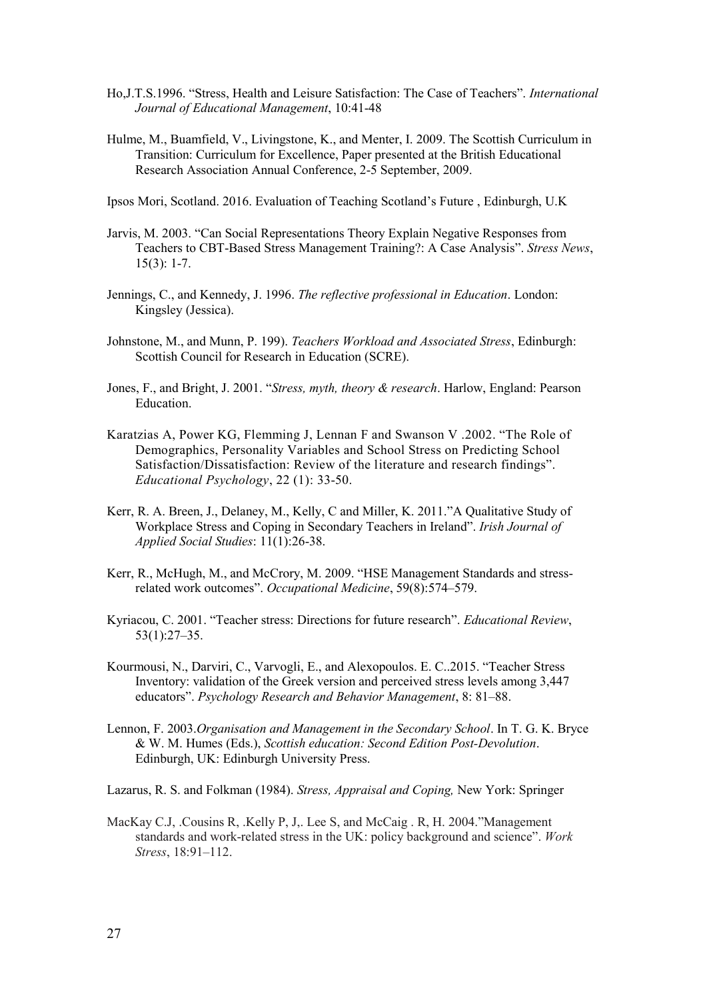- Ho,J.T.S.1996. "Stress, Health and Leisure Satisfaction: The Case of Teachers". *International Journal of Educational Management*, 10:41-48
- Hulme, M., Buamfield, V., Livingstone, K., and Menter, I. 2009. The Scottish Curriculum in Transition: Curriculum for Excellence, Paper presented at the British Educational Research Association Annual Conference, 2-5 September, 2009.
- Ipsos Mori, Scotland. 2016. Evaluation of Teaching Scotland's Future , Edinburgh, U.K
- Jarvis, M. 2003. "Can Social Representations Theory Explain Negative Responses from Teachers to CBT-Based Stress Management Training?: A Case Analysis". *Stress News*, 15(3): 1-7.
- Jennings, C., and Kennedy, J. 1996. *The reflective professional in Education*. London: Kingsley (Jessica).
- Johnstone, M., and Munn, P. 199). *Teachers Workload and Associated Stress*, Edinburgh: Scottish Council for Research in Education (SCRE).
- Jones, F., and Bright, J. 2001. "*Stress, myth, theory & research*. Harlow, England: Pearson Education.
- Karatzias A, Power KG, Flemming J, Lennan F and Swanson V .2002. "The Role of Demographics, Personality Variables and School Stress on Predicting School Satisfaction/Dissatisfaction: Review of the literature and research findings". *Educational Psychology*, 22 (1): 33-50.
- Kerr, R. A. Breen, J., Delaney, M., Kelly, C and Miller, K. 2011."A Qualitative Study of Workplace Stress and Coping in Secondary Teachers in Ireland". *Irish Journal of Applied Social Studies*: 11(1):26-38.
- Kerr, R., McHugh, M., and McCrory, M. 2009. "HSE Management Standards and stressrelated work outcomes". *Occupational Medicine*, 59(8):574–579.
- Kyriacou, C. 2001. "Teacher stress: Directions for future research". *Educational Review*, 53(1):27–35.
- Kourmousi, N., Darviri, C., Varvogli, E., and Alexopoulos. E. C..2015. "Teacher Stress Inventory: validation of the Greek version and perceived stress levels among 3,447 educators". *Psychology Research and Behavior Management*, 8: 81–88.
- Lennon, F. 2003.*Organisation and Management in the Secondary School*. In T. G. K. Bryce & W. M. Humes (Eds.), *Scottish education: Second Edition Post-Devolution*. Edinburgh, UK: Edinburgh University Press.
- Lazarus, R. S. and Folkman (1984). *Stress, Appraisal and Coping,* New York: Springer
- MacKay C.J, .Cousins R, .Kelly P, J,. Lee S, and McCaig . R, H. 2004."Management standards and work-related stress in the UK: policy background and science". *Work Stress*, 18:91–112.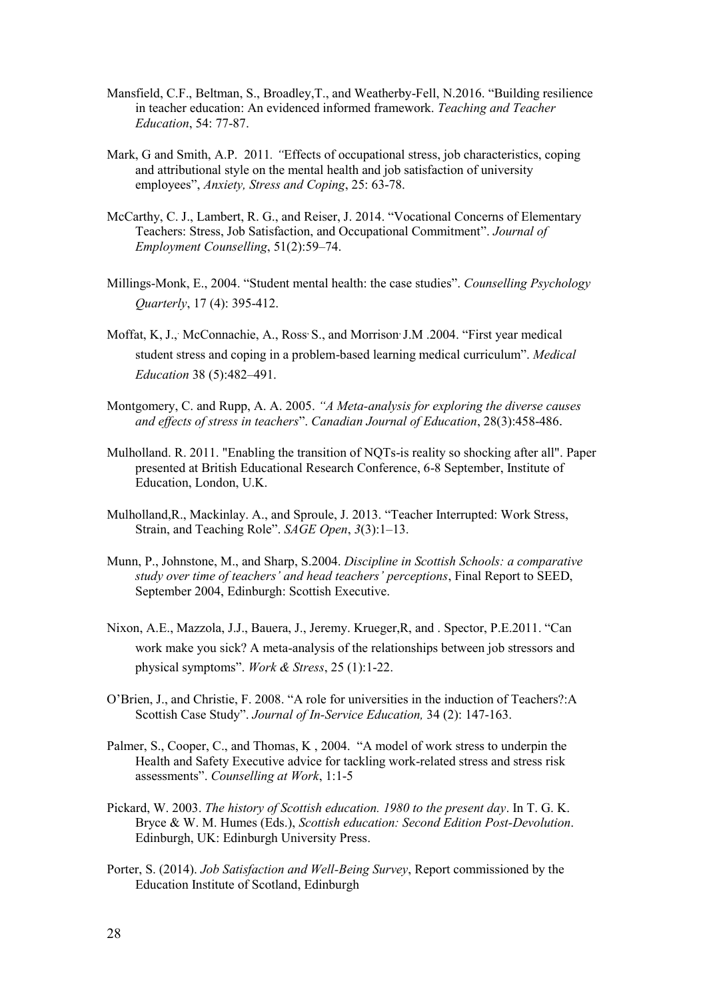- Mansfield, C.F., Beltman, S., Broadley,T., and Weatherby-Fell, N.2016. "Building resilience in teacher education: An evidenced informed framework. *Teaching and Teacher Education*, 54: 77-87.
- Mark, G and Smith, A.P. 2011*. "*Effects of occupational stress, job characteristics, coping and attributional style on the mental health and job satisfaction of university employees", *Anxiety, Stress and Coping*, 25: 63-78.
- McCarthy, C. J., Lambert, R. G., and Reiser, J. 2014. "Vocational Concerns of Elementary Teachers: Stress, Job Satisfaction, and Occupational Commitment". *Journal of Employment Counselling*, 51(2):59–74.
- Millings-Monk, E., 2004. "Student mental health: the case studies". *Counselling Psychology Quarterly*, 17 (4): 395-412.
- Moffat, K, J., McConnachie, A., Ross S., and Morrison J.M .2004. "First year medical student stress and coping in a problem-based learning medical curriculum". *Medical Education* 38 (5):482–491.
- Montgomery, C. and Rupp, A. A. 2005. *"A Meta-analysis for exploring the diverse causes and effects of stress in teachers*". *Canadian Journal of Education*, 28(3):458-486.
- Mulholland. R. 2011. "Enabling the transition of NQTs-is reality so shocking after all". Paper presented at British Educational Research Conference, 6-8 September, Institute of Education, London, U.K.
- Mulholland,R., Mackinlay. A., and Sproule, J. 2013. "Teacher Interrupted: Work Stress, Strain, and Teaching Role". *SAGE Open*, *3*(3):1–13.
- Munn, P., Johnstone, M., and Sharp, S.2004. *Discipline in Scottish Schools: a comparative study over time of teachers' and head teachers' perceptions*, Final Report to SEED, September 2004, Edinburgh: Scottish Executive.
- Nixon, A.E., Mazzola, J.J., Bauera, J., Jeremy. Krueger,R, and . Spector, P.E.2011. "Can work make you sick? A meta-analysis of the relationships between job stressors and physical symptoms". *Work & Stress*, 25 (1):1-22.
- O'Brien, J., and Christie, F. 2008. "A role for universities in the induction of Teachers?:A Scottish Case Study". *Journal of In-Service Education,* 34 (2): 147-163.
- Palmer, S., Cooper, C., and Thomas, K , 2004. "A model of work stress to underpin the Health and Safety Executive advice for tackling work-related stress and stress risk assessments". *Counselling at Work*, 1:1-5
- Pickard, W. 2003. *The history of Scottish education. 1980 to the present day*. In T. G. K. Bryce & W. M. Humes (Eds.), *Scottish education: Second Edition Post-Devolution*. Edinburgh, UK: Edinburgh University Press.
- Porter, S. (2014). *Job Satisfaction and Well-Being Survey*, Report commissioned by the Education Institute of Scotland, Edinburgh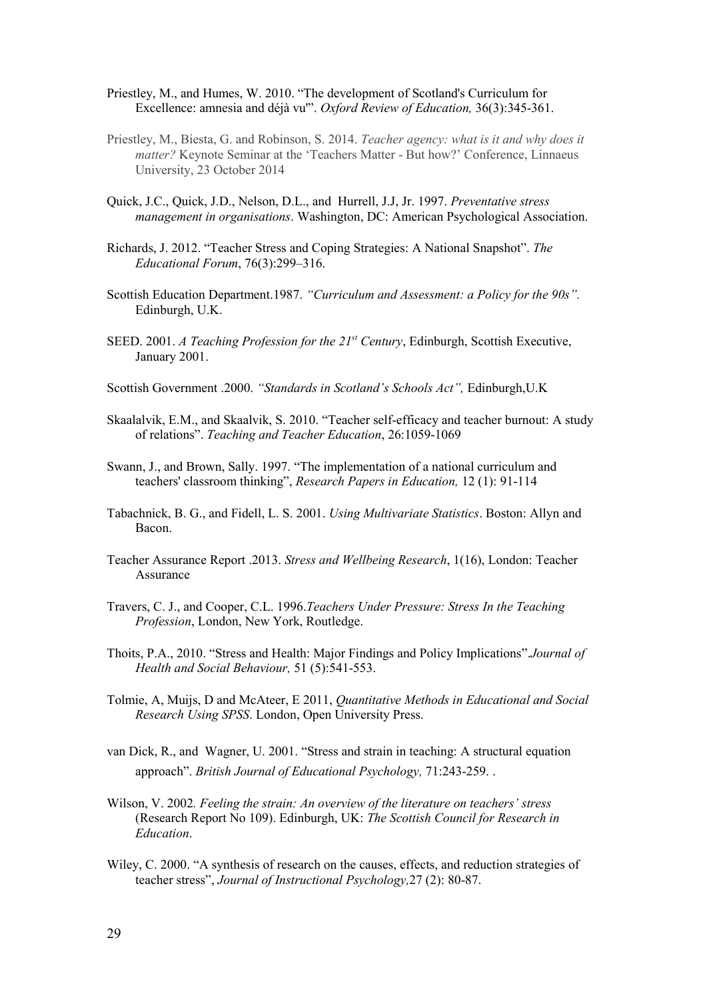- Priestley, M., and Humes, W. 2010. "The development of Scotland's Curriculum for Excellence: amnesia and déjà vu'". *Oxford Review of Education,* 36(3):345-361.
- Priestley, M., Biesta, G. and Robinson, S. 2014. *Teacher agency: what is it and why does it matter?* Keynote Seminar at the 'Teachers Matter - But how?' Conference, Linnaeus University, 23 October 2014
- Quick, J.C., Quick, J.D., Nelson, D.L., and Hurrell, J.J, Jr. 1997. *Preventative stress management in organisations*. Washington, DC: American Psychological Association.
- Richards, J. 2012. "Teacher Stress and Coping Strategies: A National Snapshot". *The Educational Forum*, 76(3):299–316.
- Scottish Education Department.1987. *"Curriculum and Assessment: a Policy for the 90s".*  Edinburgh, U.K.
- SEED. 2001. *A Teaching Profession for the 21st Century*, Edinburgh, Scottish Executive, January 2001.
- Scottish Government .2000. *"Standards in Scotland's Schools Act",* Edinburgh,U.K
- Skaalalvik, E.M., and Skaalvik, S. 2010. "Teacher self-efficacy and teacher burnout: A study of relations". *Teaching and Teacher Education*, 26:1059-1069
- Swann, J., and Brown, Sally. 1997. "The implementation of a national curriculum and teachers' classroom thinking", *Research Papers in Education,* 12 (1): 91-114
- Tabachnick, B. G., and Fidell, L. S. 2001. *Using Multivariate Statistics*. Boston: Allyn and Bacon.
- Teacher Assurance Report .2013. *Stress and Wellbeing Research*, 1(16), London: Teacher Assurance
- Travers, C. J., and Cooper, C.L. 1996.*Teachers Under Pressure: Stress In the Teaching Profession*, London, New York, Routledge.
- Thoits, P.A., 2010. "Stress and Health: Major Findings and Policy Implications".*Journal of Health and Social Behaviour,* 51 (5):541-553.
- Tolmie, A, Muijs, D and McAteer, E 2011, *Quantitative Methods in Educational and Social Research Using SPSS*. London, Open University Press.
- van Dick, R., and Wagner, U. 2001. "Stress and strain in teaching: A structural equation approach". *British Journal of Educational Psychology,* 71:243-259. .
- Wilson, V. 2002*. Feeling the strain: An overview of the literature on teachers' stress* (Research Report No 109). Edinburgh, UK: *The Scottish Council for Research in Education*.
- Wiley, C. 2000. "A synthesis of research on the causes, effects, and reduction strategies of teacher stress", *Journal of Instructional Psychology,*27 (2): 80-87.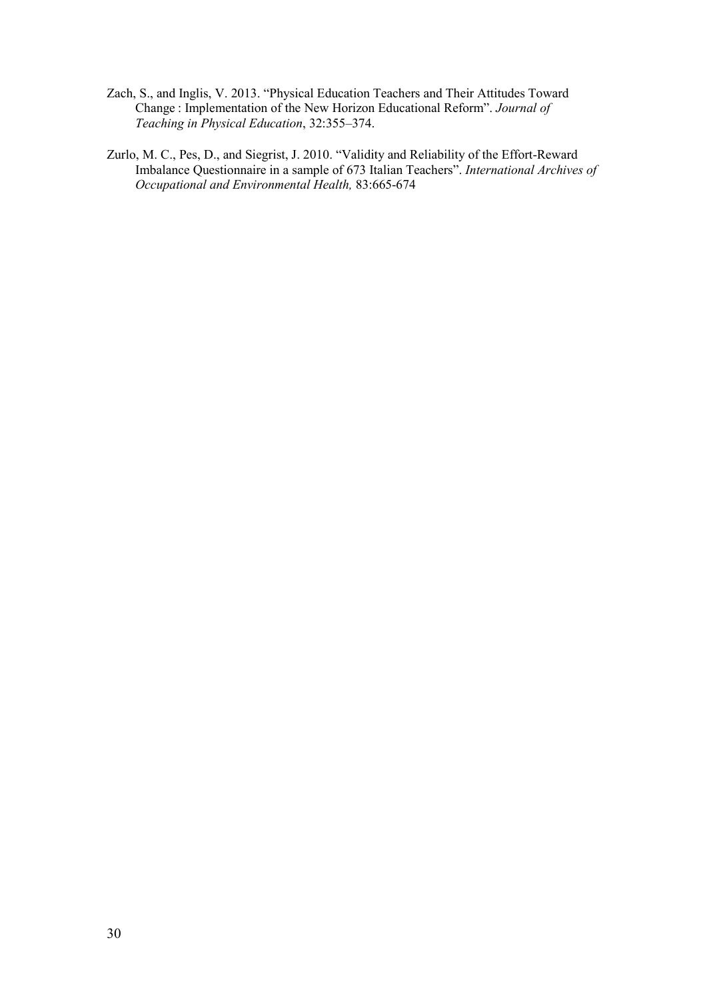- Zach, S., and Inglis, V. 2013. "Physical Education Teachers and Their Attitudes Toward Change : Implementation of the New Horizon Educational Reform". *Journal of Teaching in Physical Education*, 32:355–374.
- Zurlo, M. C., Pes, D., and Siegrist, J. 2010. "Validity and Reliability of the Effort-Reward Imbalance Questionnaire in a sample of 673 Italian Teachers". *International Archives of Occupational and Environmental Health,* 83:665-674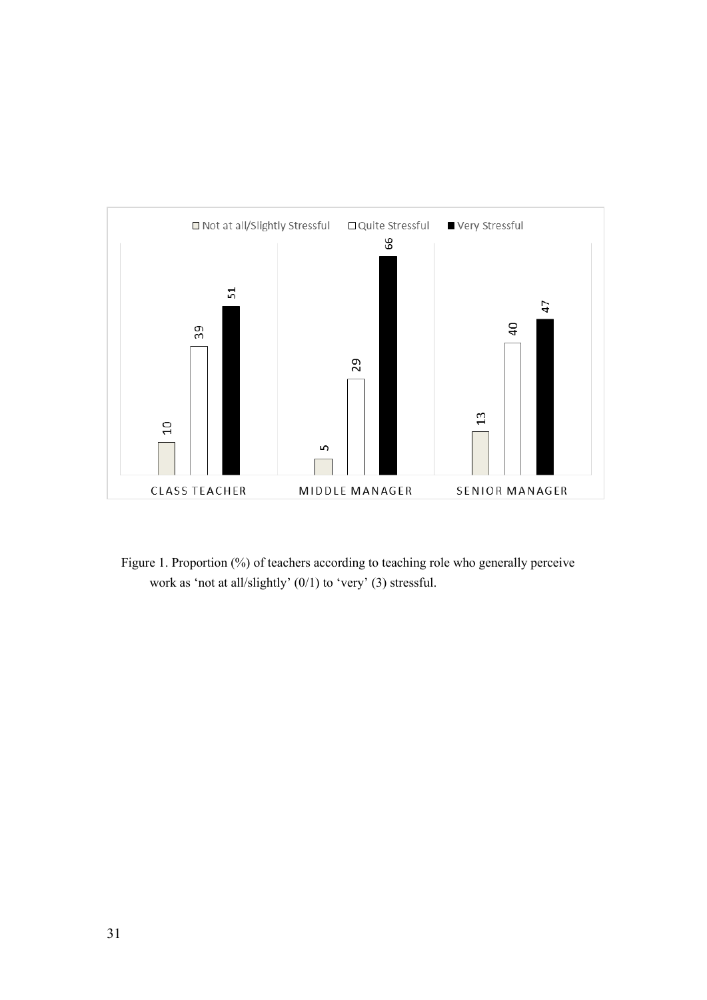

Figure 1. Proportion (%) of teachers according to teaching role who generally perceive work as 'not at all/slightly' (0/1) to 'very' (3) stressful.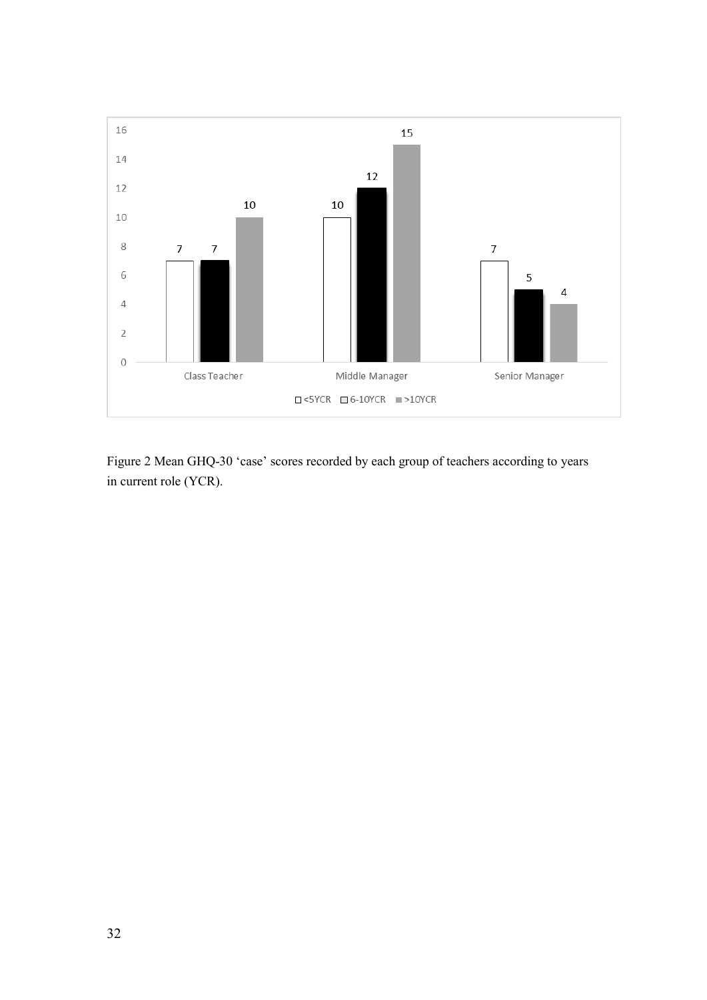

Figure 2 Mean GHQ-30 'case' scores recorded by each group of teachers according to years in current role (YCR).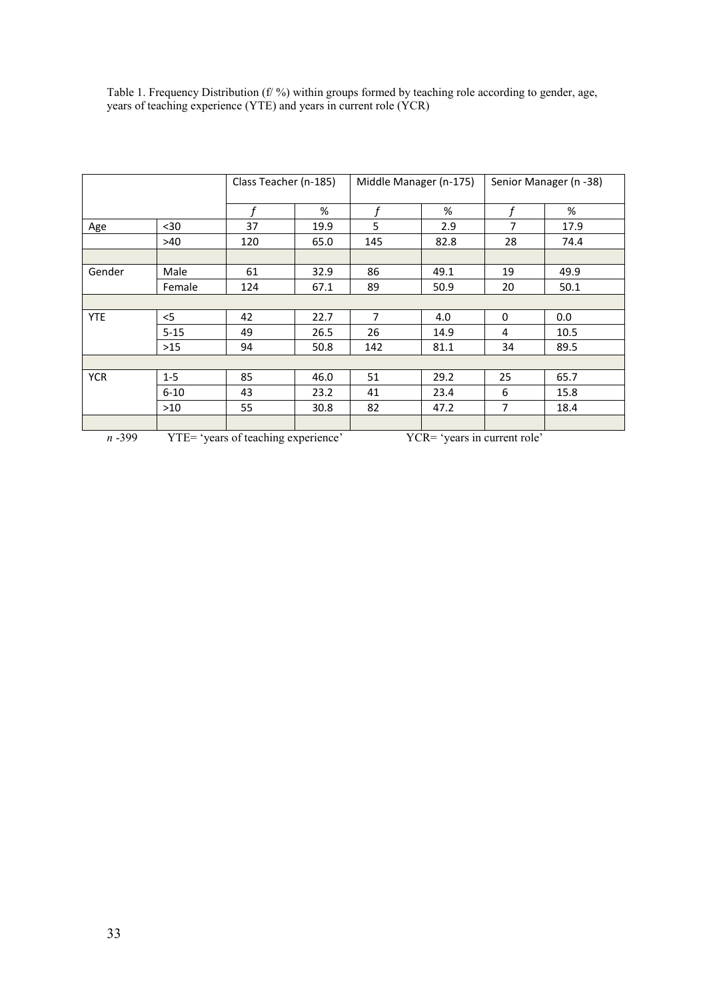|            |          | Class Teacher (n-185)               |      | Middle Manager (n-175)       |      | Senior Manager (n -38) |      |
|------------|----------|-------------------------------------|------|------------------------------|------|------------------------|------|
|            |          |                                     | %    |                              | %    |                        | %    |
| Age        | $30$     | 37                                  | 19.9 | 5                            | 2.9  | 7                      | 17.9 |
|            | >40      | 120                                 | 65.0 | 145                          | 82.8 | 28                     | 74.4 |
|            |          |                                     |      |                              |      |                        |      |
| Gender     | Male     | 61                                  | 32.9 | 86                           | 49.1 | 19                     | 49.9 |
|            | Female   | 124                                 | 67.1 | 89                           | 50.9 | 20                     | 50.1 |
|            |          |                                     |      |                              |      |                        |      |
| <b>YTE</b> | $<$ 5    | 42                                  | 22.7 | $\overline{7}$               | 4.0  | 0                      | 0.0  |
|            | $5 - 15$ | 49                                  | 26.5 | 26                           | 14.9 | 4                      | 10.5 |
|            | $>15$    | 94                                  | 50.8 | 142                          | 81.1 | 34                     | 89.5 |
|            |          |                                     |      |                              |      |                        |      |
| <b>YCR</b> | $1 - 5$  | 85                                  | 46.0 | 51                           | 29.2 | 25                     | 65.7 |
|            | $6 - 10$ | 43                                  | 23.2 | 41                           | 23.4 | 6                      | 15.8 |
|            | >10      | 55                                  | 30.8 | 82                           | 47.2 | 7                      | 18.4 |
|            |          |                                     |      |                              |      |                        |      |
| $n - 399$  |          | YTE= 'years of teaching experience' |      | YCR= 'years in current role' |      |                        |      |

| Table 1. Frequency Distribution (f/ %) within groups formed by teaching role according to gender, age, |  |  |
|--------------------------------------------------------------------------------------------------------|--|--|
| years of teaching experience (YTE) and years in current role (YCR)                                     |  |  |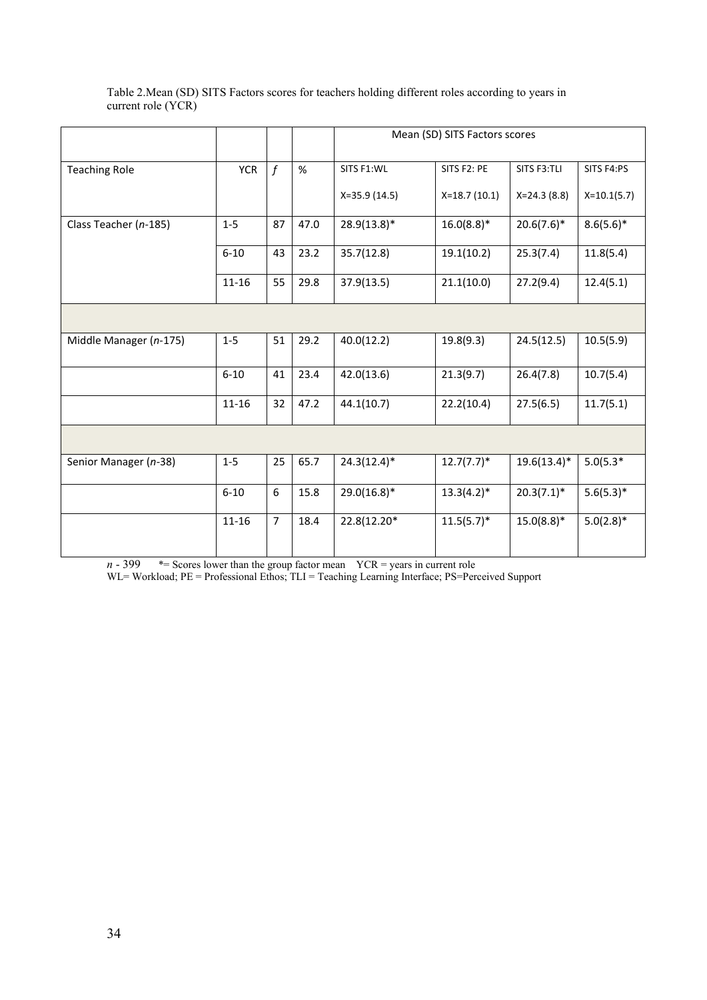| Table 2. Mean (SD) SITS Factors scores for teachers holding different roles according to years in |  |
|---------------------------------------------------------------------------------------------------|--|
| current role (YCR)                                                                                |  |

|                        |            |                |      | Mean (SD) SITS Factors scores |                |                 |               |
|------------------------|------------|----------------|------|-------------------------------|----------------|-----------------|---------------|
| <b>Teaching Role</b>   | <b>YCR</b> | $\mathbf f$    | %    | SITS F1:WL                    | SITS F2: PE    | SITS F3:TLI     | SITS F4:PS    |
|                        |            |                |      | $X=35.9(14.5)$                | $X=18.7(10.1)$ | $X = 24.3(8.8)$ | $X=10.1(5.7)$ |
| Class Teacher (n-185)  | $1 - 5$    | 87             | 47.0 | $28.9(13.8)*$                 | $16.0(8.8)*$   | $20.6(7.6)^*$   | $8.6(5.6)^*$  |
|                        | $6 - 10$   | 43             | 23.2 | 35.7(12.8)                    | 19.1(10.2)     | 25.3(7.4)       | 11.8(5.4)     |
|                        | $11 - 16$  | 55             | 29.8 | 37.9(13.5)                    | 21.1(10.0)     | 27.2(9.4)       | 12.4(5.1)     |
|                        |            |                |      |                               |                |                 |               |
| Middle Manager (n-175) | $1 - 5$    | 51             | 29.2 | 40.0(12.2)                    | 19.8(9.3)      | 24.5(12.5)      | 10.5(5.9)     |
|                        | $6 - 10$   | 41             | 23.4 | 42.0(13.6)                    | 21.3(9.7)      | 26.4(7.8)       | 10.7(5.4)     |
|                        | $11 - 16$  | 32             | 47.2 | 44.1(10.7)                    | 22.2(10.4)     | 27.5(6.5)       | 11.7(5.1)     |
|                        |            |                |      |                               |                |                 |               |
| Senior Manager (n-38)  | $1 - 5$    | 25             | 65.7 | $24.3(12.4)$ *                | $12.7(7.7)^*$  | $19.6(13.4)^*$  | $5.0(5.3*)$   |
|                        | $6 - 10$   | 6              | 15.8 | $29.0(16.8)*$                 | $13.3(4.2)^*$  | $20.3(7.1)^*$   | $5.6(5.3)*$   |
|                        | $11 - 16$  | $\overline{7}$ | 18.4 | 22.8(12.20*                   | $11.5(5.7)^*$  | $15.0(8.8)$ *   | $5.0(2.8)*$   |

 $n - 399$   $* =$  Scores lower than the group factor mean  $YCR =$  years in current role

WL= Workload; PE = Professional Ethos; TLI = Teaching Learning Interface; PS=Perceived Support